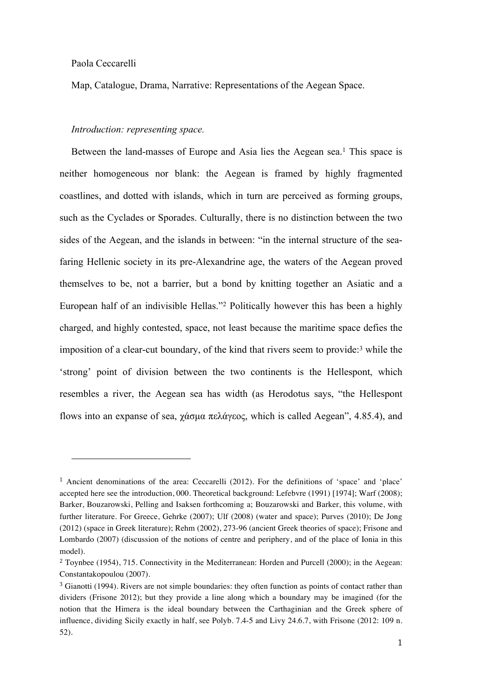## Paola Ceccarelli

 $\overline{a}$ 

Map, Catalogue, Drama, Narrative: Representations of the Aegean Space.

## *Introduction: representing space.*

Between the land-masses of Europe and Asia lies the Aegean sea.<sup>1</sup> This space is neither homogeneous nor blank: the Aegean is framed by highly fragmented coastlines, and dotted with islands, which in turn are perceived as forming groups, such as the Cyclades or Sporades. Culturally, there is no distinction between the two sides of the Aegean, and the islands in between: "in the internal structure of the seafaring Hellenic society in its pre-Alexandrine age, the waters of the Aegean proved themselves to be, not a barrier, but a bond by knitting together an Asiatic and a European half of an indivisible Hellas."2 Politically however this has been a highly charged, and highly contested, space, not least because the maritime space defies the imposition of a clear-cut boundary, of the kind that rivers seem to provide:3 while the 'strong' point of division between the two continents is the Hellespont, which resembles a river, the Aegean sea has width (as Herodotus says, "the Hellespont flows into an expanse of sea, χάσµα πελάγεος, which is called Aegean", 4.85.4), and

<sup>1</sup> Ancient denominations of the area: Ceccarelli (2012). For the definitions of 'space' and 'place' accepted here see the introduction, 000. Theoretical background: Lefebvre (1991) [1974]; Warf (2008); Barker, Bouzarowski, Pelling and Isaksen forthcoming a; Bouzarowski and Barker, this volume, with further literature. For Greece, Gehrke (2007); Ulf (2008) (water and space); Purves (2010); De Jong (2012) (space in Greek literature); Rehm (2002), 273-96 (ancient Greek theories of space); Frisone and Lombardo (2007) (discussion of the notions of centre and periphery, and of the place of Ionia in this model).

<sup>&</sup>lt;sup>2</sup> Toynbee (1954), 715. Connectivity in the Mediterranean: Horden and Purcell (2000); in the Aegean: Constantakopoulou (2007).

 $3$  Gianotti (1994). Rivers are not simple boundaries: they often function as points of contact rather than dividers (Frisone 2012); but they provide a line along which a boundary may be imagined (for the notion that the Himera is the ideal boundary between the Carthaginian and the Greek sphere of influence, dividing Sicily exactly in half, see Polyb. 7.4-5 and Livy 24.6.7, with Frisone (2012: 109 n. 52).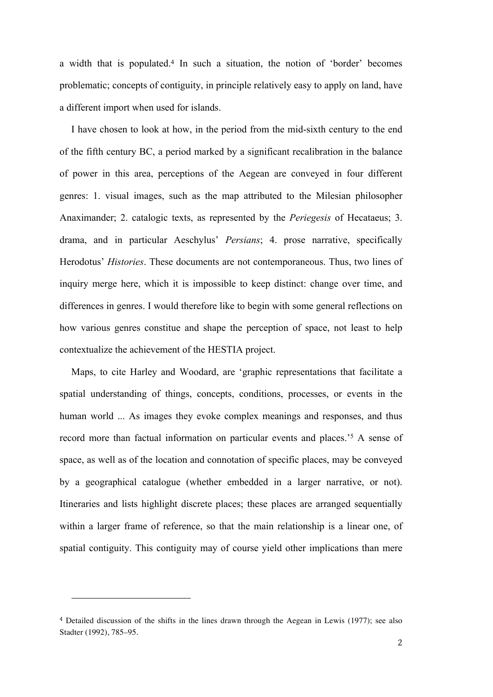a width that is populated.4 In such a situation, the notion of 'border' becomes problematic; concepts of contiguity, in principle relatively easy to apply on land, have a different import when used for islands.

I have chosen to look at how, in the period from the mid-sixth century to the end of the fifth century BC, a period marked by a significant recalibration in the balance of power in this area, perceptions of the Aegean are conveyed in four different genres: 1. visual images, such as the map attributed to the Milesian philosopher Anaximander; 2. catalogic texts, as represented by the *Periegesis* of Hecataeus; 3. drama, and in particular Aeschylus' *Persians*; 4. prose narrative, specifically Herodotus' *Histories*. These documents are not contemporaneous. Thus, two lines of inquiry merge here, which it is impossible to keep distinct: change over time, and differences in genres. I would therefore like to begin with some general reflections on how various genres constitue and shape the perception of space, not least to help contextualize the achievement of the HESTIA project.

Maps, to cite Harley and Woodard, are 'graphic representations that facilitate a spatial understanding of things, concepts, conditions, processes, or events in the human world ... As images they evoke complex meanings and responses, and thus record more than factual information on particular events and places.'5 A sense of space, as well as of the location and connotation of specific places, may be conveyed by a geographical catalogue (whether embedded in a larger narrative, or not). Itineraries and lists highlight discrete places; these places are arranged sequentially within a larger frame of reference, so that the main relationship is a linear one, of spatial contiguity. This contiguity may of course yield other implications than mere

<sup>&</sup>lt;sup>4</sup> Detailed discussion of the shifts in the lines drawn through the Aegean in Lewis (1977); see also Stadter (1992), 785–95.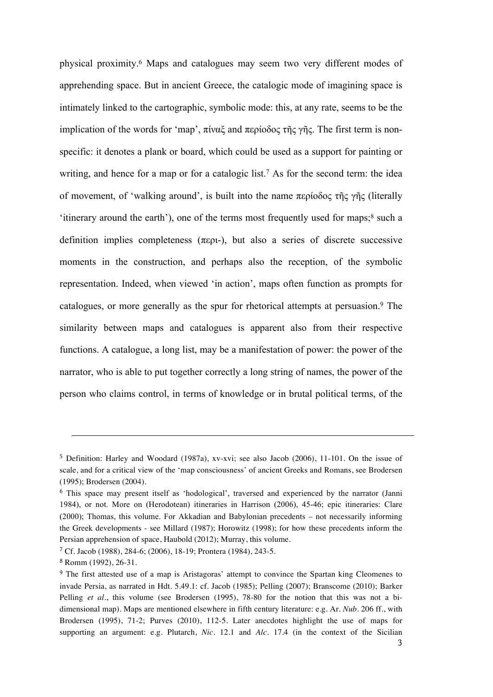physical proximity.6 Maps and catalogues may seem two very different modes of apprehending space. But in ancient Greece, the catalogic mode of imagining space is intimately linked to the cartographic, symbolic mode: this, at any rate, seems to be the implication of the words for 'map', πίναξ and περίοδος τῆς γῆς. The first term is nonspecific: it denotes a plank or board, which could be used as a support for painting or writing, and hence for a map or for a catalogic list.<sup>7</sup> As for the second term: the idea of movement, of 'walking around', is built into the name περίοδος τῆς γῆς (literally 'itinerary around the earth'), one of the terms most frequently used for maps;<sup>8</sup> such a definition implies completeness (περι-), but also a series of discrete successive moments in the construction, and perhaps also the reception, of the symbolic representation. Indeed, when viewed 'in action', maps often function as prompts for catalogues, or more generally as the spur for rhetorical attempts at persuasion.<sup>9</sup> The similarity between maps and catalogues is apparent also from their respective functions. A catalogue, a long list, may be a manifestation of power: the power of the narrator, who is able to put together correctly a long string of names, the power of the person who claims control, in terms of knowledge or in brutal political terms, of the

<sup>5</sup> Definition: Harley and Woodard (1987a), xv-xvi; see also Jacob (2006), 11-101. On the issue of scale, and for a critical view of the 'map consciousness' of ancient Greeks and Romans, see Brodersen (1995); Brodersen (2004).

<sup>6</sup> This space may present itself as 'hodological', traversed and experienced by the narrator (Janni 1984), or not. More on (Herodotean) itineraries in Harrison (2006), 45-46; epic itineraries: Clare (2000); Thomas, this volume. For Akkadian and Babylonian precedents – not necessarily informing the Greek developments - see Millard (1987); Horowitz (1998); for how these precedents inform the Persian apprehension of space, Haubold (2012); Murray, this volume.

<sup>7</sup> Cf. Jacob (1988), 284-6; (2006), 18-19; Prontera (1984), 243-5.

<sup>8</sup> Romm (1992), 26-31.

<sup>9</sup> The first attested use of a map is Aristagoras' attempt to convince the Spartan king Cleomenes to invade Persia, as narrated in Hdt. 5.49.1: cf. Jacob (1985); Pelling (2007); Branscome (2010); Barker Pelling *et al.*, this volume (see Brodersen (1995), 78-80 for the notion that this was not a bidimensional map). Maps are mentioned elsewhere in fifth century literature: e.g. Ar. *Nub.* 206 ff., with Brodersen (1995), 71-2; Purves (2010), 112-5. Later anecdotes highlight the use of maps for supporting an argument: e.g. Plutarch, *Nic.* 12.1 and *Alc.* 17.4 (in the context of the Sicilian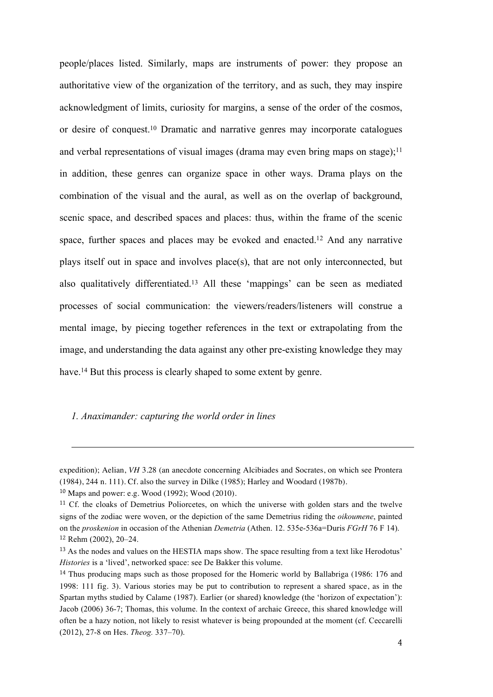people/places listed. Similarly, maps are instruments of power: they propose an authoritative view of the organization of the territory, and as such, they may inspire acknowledgment of limits, curiosity for margins, a sense of the order of the cosmos, or desire of conquest.10 Dramatic and narrative genres may incorporate catalogues and verbal representations of visual images (drama may even bring maps on stage);<sup>11</sup> in addition, these genres can organize space in other ways. Drama plays on the combination of the visual and the aural, as well as on the overlap of background, scenic space, and described spaces and places: thus, within the frame of the scenic space, further spaces and places may be evoked and enacted.12 And any narrative plays itself out in space and involves place(s), that are not only interconnected, but also qualitatively differentiated.13 All these 'mappings' can be seen as mediated processes of social communication: the viewers/readers/listeners will construe a mental image, by piecing together references in the text or extrapolating from the image, and understanding the data against any other pre-existing knowledge they may have.<sup>14</sup> But this process is clearly shaped to some extent by genre.

# *1. Anaximander: capturing the world order in lines*

expedition); Aelian, *VH* 3.28 (an anecdote concerning Alcibiades and Socrates, on which see Prontera (1984), 244 n. 111). Cf. also the survey in Dilke (1985); Harley and Woodard (1987b).

 $10$  Maps and power: e.g. Wood (1992); Wood (2010).

<sup>&</sup>lt;sup>11</sup> Cf. the cloaks of Demetrius Poliorcetes, on which the universe with golden stars and the twelve signs of the zodiac were woven, or the depiction of the same Demetrius riding the *oikoumene*, painted on the *proskenion* in occasion of the Athenian *Demetria* (Athen. 12. 535e-536a=Duris *FGrH* 76 F 14). 12 Rehm (2002), 20–24.

<sup>&</sup>lt;sup>13</sup> As the nodes and values on the HESTIA maps show. The space resulting from a text like Herodotus' *Histories* is a 'lived', networked space: see De Bakker this volume.

<sup>&</sup>lt;sup>14</sup> Thus producing maps such as those proposed for the Homeric world by Ballabriga (1986: 176 and 1998: 111 fig. 3). Various stories may be put to contribution to represent a shared space, as in the Spartan myths studied by Calame (1987). Earlier (or shared) knowledge (the 'horizon of expectation'): Jacob (2006) 36-7; Thomas, this volume. In the context of archaic Greece, this shared knowledge will often be a hazy notion, not likely to resist whatever is being propounded at the moment (cf. Ceccarelli (2012), 27-8 on Hes. *Theog.* 337–70).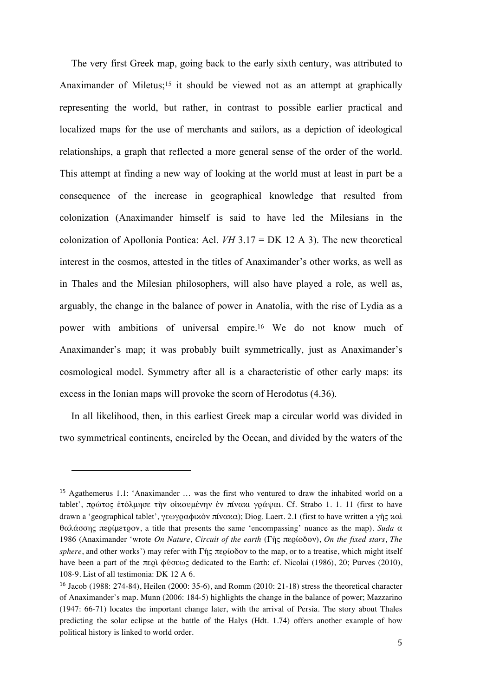The very first Greek map, going back to the early sixth century, was attributed to Anaximander of Miletus;<sup>15</sup> it should be viewed not as an attempt at graphically representing the world, but rather, in contrast to possible earlier practical and localized maps for the use of merchants and sailors, as a depiction of ideological relationships, a graph that reflected a more general sense of the order of the world. This attempt at finding a new way of looking at the world must at least in part be a consequence of the increase in geographical knowledge that resulted from colonization (Anaximander himself is said to have led the Milesians in the colonization of Apollonia Pontica: Ael. *VH* 3.17 = DK 12 A 3). The new theoretical interest in the cosmos, attested in the titles of Anaximander's other works, as well as in Thales and the Milesian philosophers, will also have played a role, as well as, arguably, the change in the balance of power in Anatolia, with the rise of Lydia as a power with ambitions of universal empire.16 We do not know much of Anaximander's map; it was probably built symmetrically, just as Anaximander's cosmological model. Symmetry after all is a characteristic of other early maps: its excess in the Ionian maps will provoke the scorn of Herodotus (4.36).

In all likelihood, then, in this earliest Greek map a circular world was divided in two symmetrical continents, encircled by the Ocean, and divided by the waters of the

<sup>15</sup> Agathemerus 1.1: 'Anaximander … was the first who ventured to draw the inhabited world on a tablet', πρῶτος ἐτόλμησε τὴν οἰκουμένην ἐν πίνακι γράψαι. Cf. Strabo 1. 1. 11 (first to have drawn a 'geographical tablet', γεωγραφικὸν πίνακα); Diog. Laert. 2.1 (first to have written a γῆς καὶ θαλάσσης περίμετρον, a title that presents the same 'encompassing' nuance as the map). *Suda* α 1986 (Anaximander 'wrote *On Nature*, *Circuit of the earth* (Γῆς περίοδον), *On the fixed stars*, *The sphere*, and other works') may refer with Γῆς περίοδον to the map, or to a treatise, which might itself have been a part of the περὶ φύσεως dedicated to the Earth: cf. Nicolai (1986), 20; Purves (2010), 108-9. List of all testimonia: DK 12 A 6.

<sup>16</sup> Jacob (1988: 274-84), Heilen (2000: 35-6), and Romm (2010: 21-18) stress the theoretical character of Anaximander's map. Munn (2006: 184-5) highlights the change in the balance of power; Mazzarino (1947: 66-71) locates the important change later, with the arrival of Persia. The story about Thales predicting the solar eclipse at the battle of the Halys (Hdt. 1.74) offers another example of how political history is linked to world order.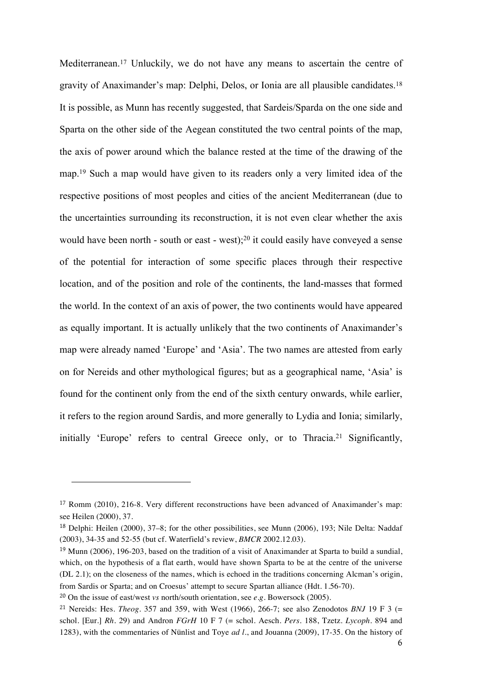Mediterranean.17 Unluckily, we do not have any means to ascertain the centre of gravity of Anaximander's map: Delphi, Delos, or Ionia are all plausible candidates.18 It is possible, as Munn has recently suggested, that Sardeis/Sparda on the one side and Sparta on the other side of the Aegean constituted the two central points of the map, the axis of power around which the balance rested at the time of the drawing of the map.19 Such a map would have given to its readers only a very limited idea of the respective positions of most peoples and cities of the ancient Mediterranean (due to the uncertainties surrounding its reconstruction, it is not even clear whether the axis would have been north - south or east - west);<sup>20</sup> it could easily have conveyed a sense of the potential for interaction of some specific places through their respective location, and of the position and role of the continents, the land-masses that formed the world. In the context of an axis of power, the two continents would have appeared as equally important. It is actually unlikely that the two continents of Anaximander's map were already named 'Europe' and 'Asia'. The two names are attested from early on for Nereids and other mythological figures; but as a geographical name, 'Asia' is found for the continent only from the end of the sixth century onwards, while earlier, it refers to the region around Sardis, and more generally to Lydia and Ionia; similarly, initially 'Europe' refers to central Greece only, or to Thracia.<sup>21</sup> Significantly,

<sup>17</sup> Romm (2010), 216-8. Very different reconstructions have been advanced of Anaximander's map: see Heilen (2000), 37.

<sup>18</sup> Delphi: Heilen (2000), 37–8; for the other possibilities, see Munn (2006), 193; Nile Delta: Naddaf (2003), 34-35 and 52-55 (but cf. Waterfield's review, *BMCR* 2002.12.03).

<sup>19</sup> Munn (2006), 196-203, based on the tradition of a visit of Anaximander at Sparta to build a sundial, which, on the hypothesis of a flat earth, would have shown Sparta to be at the centre of the universe (DL 2.1); on the closeness of the names, which is echoed in the traditions concerning Alcman's origin, from Sardis or Sparta; and on Croesus' attempt to secure Spartan alliance (Hdt. 1.56-70).

<sup>20</sup> On the issue of east/west *vs* north/south orientation, see *e.g.* Bowersock (2005).

<sup>21</sup> Nereids: Hes. *Theog.* 357 and 359, with West (1966), 266-7; see also Zenodotos *BNJ* 19 F 3 (= schol. [Eur.] *Rh.* 29) and Andron *FGrH* 10 F 7 (= schol. Aesch. *Pers.* 188, Tzetz. *Lycoph.* 894 and 1283), with the commentaries of Nünlist and Toye *ad l.*, and Jouanna (2009), 17-35. On the history of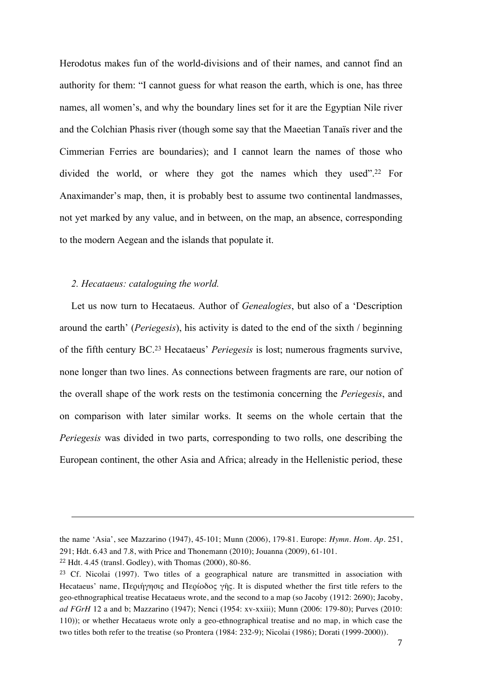Herodotus makes fun of the world-divisions and of their names, and cannot find an authority for them: "I cannot guess for what reason the earth, which is one, has three names, all women's, and why the boundary lines set for it are the Egyptian Nile river and the Colchian Phasis river (though some say that the Maeetian Tanaïs river and the Cimmerian Ferries are boundaries); and I cannot learn the names of those who divided the world, or where they got the names which they used". <sup>22</sup> For Anaximander's map, then, it is probably best to assume two continental landmasses, not yet marked by any value, and in between, on the map, an absence, corresponding to the modern Aegean and the islands that populate it.

## *2. Hecataeus: cataloguing the world.*

Let us now turn to Hecataeus. Author of *Genealogies*, but also of a 'Description around the earth' (*Periegesis*), his activity is dated to the end of the sixth / beginning of the fifth century BC.23 Hecataeus' *Periegesis* is lost; numerous fragments survive, none longer than two lines. As connections between fragments are rare, our notion of the overall shape of the work rests on the testimonia concerning the *Periegesis*, and on comparison with later similar works. It seems on the whole certain that the *Periegesis* was divided in two parts, corresponding to two rolls, one describing the European continent, the other Asia and Africa; already in the Hellenistic period, these

the name 'Asia', see Mazzarino (1947), 45-101; Munn (2006), 179-81. Europe: *Hymn. Hom. Ap.* 251, 291; Hdt. 6.43 and 7.8, with Price and Thonemann (2010); Jouanna (2009), 61-101.

<sup>22</sup> Hdt. 4.45 (transl. Godley), with Thomas (2000), 80-86.

<sup>&</sup>lt;sup>23</sup> Cf. Nicolai (1997). Two titles of a geographical nature are transmitted in association with Hecataeus' name, Περιήγησις and Περίοδος γῆς. It is disputed whether the first title refers to the geo-ethnographical treatise Hecataeus wrote, and the second to a map (so Jacoby (1912: 2690); Jacoby, *ad FGrH* 12 a and b; Mazzarino (1947); Nenci (1954: xv-xxiii); Munn (2006: 179-80); Purves (2010: 110)); or whether Hecataeus wrote only a geo-ethnographical treatise and no map, in which case the two titles both refer to the treatise (so Prontera (1984: 232-9); Nicolai (1986); Dorati (1999-2000)).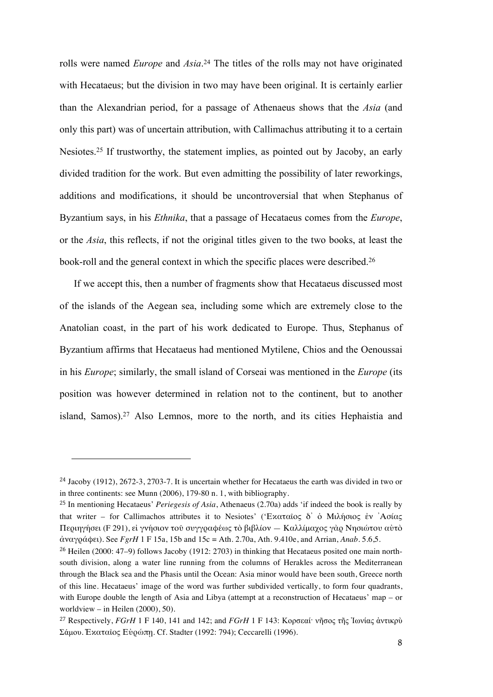rolls were named *Europe* and *Asia*. <sup>24</sup> The titles of the rolls may not have originated with Hecataeus; but the division in two may have been original. It is certainly earlier than the Alexandrian period, for a passage of Athenaeus shows that the *Asia* (and only this part) was of uncertain attribution, with Callimachus attributing it to a certain Nesiotes.25 If trustworthy, the statement implies, as pointed out by Jacoby, an early divided tradition for the work. But even admitting the possibility of later reworkings, additions and modifications, it should be uncontroversial that when Stephanus of Byzantium says, in his *Ethnika*, that a passage of Hecataeus comes from the *Europe*, or the *Asia*, this reflects, if not the original titles given to the two books, at least the book-roll and the general context in which the specific places were described.26

If we accept this, then a number of fragments show that Hecataeus discussed most of the islands of the Aegean sea, including some which are extremely close to the Anatolian coast, in the part of his work dedicated to Europe. Thus, Stephanus of Byzantium affirms that Hecataeus had mentioned Mytilene, Chios and the Oenoussai in his *Europe*; similarly, the small island of Corseai was mentioned in the *Europe* (its position was however determined in relation not to the continent, but to another island, Samos).27 Also Lemnos, more to the north, and its cities Hephaistia and

<sup>24</sup> Jacoby (1912), 2672-3, 2703-7. It is uncertain whether for Hecataeus the earth was divided in two or in three continents: see Munn (2006), 179-80 n. 1, with bibliography.

<sup>25</sup> In mentioning Hecataeus' *Periegesis of Asia*, Athenaeus (2.70a) adds 'if indeed the book is really by that writer – for Callimachos attributes it to Nesiotes' ('Εκαταῖος δ᾽ ὁ Μιλήσιος ἐν ᾽Ασίας Περιηγήσει (F 291), εἰ γνήσιον τοῦ συγγραφέως τὸ βιβλίον — Καλλίμαχος γὰρ Νησιώτου αὐτὸ ἀναγράφει). See *FgrH* 1 F 15a, 15b and 15c = Ath. 2.70a, Ath. 9.410e, and Arrian, *Anab*. 5.6,5.

<sup>26</sup> Heilen (2000: 47–9) follows Jacoby (1912: 2703) in thinking that Hecataeus posited one main northsouth division, along a water line running from the columns of Herakles across the Mediterranean through the Black sea and the Phasis until the Ocean: Asia minor would have been south, Greece north of this line. Hecataeus' image of the word was further subdivided vertically, to form four quadrants, with Europe double the length of Asia and Libya (attempt at a reconstruction of Hecataeus' map – or worldview – in Heilen (2000), 50).

<sup>27</sup> Respectively, *FGrH* 1 F 140, 141 and 142; and *FGrH* 1 F 143: Κορσεαί· νῆσος τῆς Ἰωνίας ἀντικρὺ Σάµου. ̔Εκαταῖος Εὐρώπῃ. Cf. Stadter (1992: 794); Ceccarelli (1996).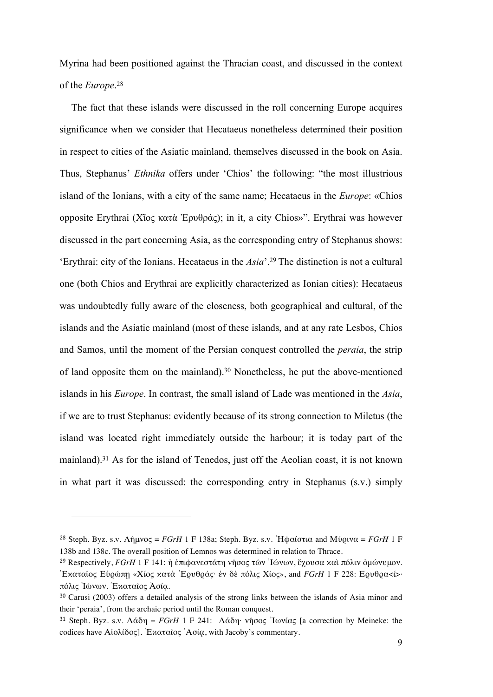Myrina had been positioned against the Thracian coast, and discussed in the context of the *Europe*. 28

The fact that these islands were discussed in the roll concerning Europe acquires significance when we consider that Hecataeus nonetheless determined their position in respect to cities of the Asiatic mainland, themselves discussed in the book on Asia. Thus, Stephanus' *Ethnika* offers under 'Chios' the following: "the most illustrious island of the Ionians, with a city of the same name; Hecataeus in the *Europe*: «Chios opposite Erythrai (Χῖος κατὰ Ἐρυθράς); in it, a city Chios»". Erythrai was however discussed in the part concerning Asia, as the corresponding entry of Stephanus shows: 'Erythrai: city of the Ionians. Hecataeus in the *Asia*'.29 The distinction is not a cultural one (both Chios and Erythrai are explicitly characterized as Ionian cities): Hecataeus was undoubtedly fully aware of the closeness, both geographical and cultural, of the islands and the Asiatic mainland (most of these islands, and at any rate Lesbos, Chios and Samos, until the moment of the Persian conquest controlled the *peraia*, the strip of land opposite them on the mainland).30 Nonetheless, he put the above-mentioned islands in his *Europe*. In contrast, the small island of Lade was mentioned in the *Asia*, if we are to trust Stephanus: evidently because of its strong connection to Miletus (the island was located right immediately outside the harbour; it is today part of the mainland).31 As for the island of Tenedos, just off the Aeolian coast, it is not known in what part it was discussed: the corresponding entry in Stephanus (s.v.) simply

<sup>&</sup>lt;sup>28</sup> Steph. Byz. s.v. Λῆμνος = *FGrH* 1 F 138a; Steph. Byz. s.v. Ήφαίστια and Μύρινα = *FGrH* 1 F 138b and 138c. The overall position of Lemnos was determined in relation to Thrace.

<sup>29</sup> Respectively, *FGrH* 1 F 141: ἡ ἐπιφανεστάτη νῆσος τῶν ᾽Ιώνων, ἔχουσα καὶ πόλιν ὁμώνυμον. ῾Εκαταῖος Εὐρώπῃ «Χίος κατὰ ᾽Ερυθράς· ἐν δὲ πόλις Χίος», and *FGrH* 1 F 228: Ερυθρα<ί>· πόλις Ἰώνων. Ἑκαταῖος Ἀσίᾳ.

<sup>30</sup> Carusi (2003) offers a detailed analysis of the strong links between the islands of Asia minor and their 'peraia', from the archaic period until the Roman conquest.

<sup>&</sup>lt;sup>31</sup> Steph. Byz. s.v. Λάδη = *FGrH* 1 F 241: Λάδη· νῆσος Ἰωνίας [a correction by Meineke: the codices have Αἰολίδος]. Eκαταῖος 'Ασία, with Jacoby's commentary.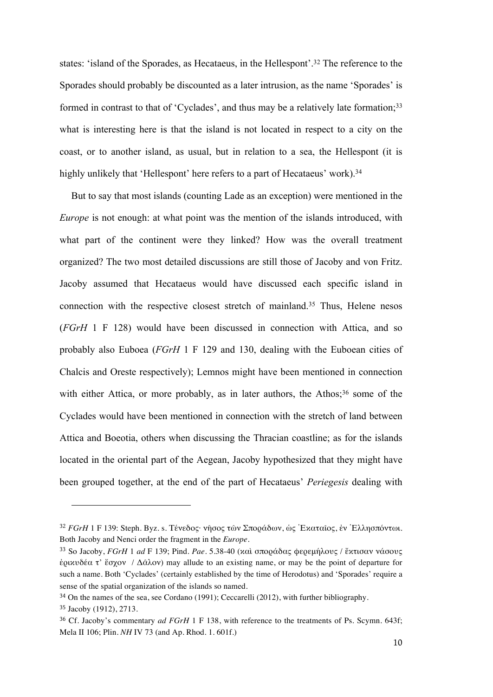states: 'island of the Sporades, as Hecataeus, in the Hellespont'.32 The reference to the Sporades should probably be discounted as a later intrusion, as the name 'Sporades' is formed in contrast to that of 'Cyclades', and thus may be a relatively late formation;<sup>33</sup> what is interesting here is that the island is not located in respect to a city on the coast, or to another island, as usual, but in relation to a sea, the Hellespont (it is highly unlikely that 'Hellespont' here refers to a part of Hecataeus' work).<sup>34</sup>

But to say that most islands (counting Lade as an exception) were mentioned in the *Europe* is not enough: at what point was the mention of the islands introduced, with what part of the continent were they linked? How was the overall treatment organized? The two most detailed discussions are still those of Jacoby and von Fritz. Jacoby assumed that Hecataeus would have discussed each specific island in connection with the respective closest stretch of mainland.35 Thus, Helene nesos (*FGrH* 1 F 128) would have been discussed in connection with Attica, and so probably also Euboea (*FGrH* 1 F 129 and 130, dealing with the Euboean cities of Chalcis and Oreste respectively); Lemnos might have been mentioned in connection with either Attica, or more probably, as in later authors, the Athos;<sup>36</sup> some of the Cyclades would have been mentioned in connection with the stretch of land between Attica and Boeotia, others when discussing the Thracian coastline; as for the islands located in the oriental part of the Aegean, Jacoby hypothesized that they might have been grouped together, at the end of the part of Hecataeus' *Periegesis* dealing with

<sup>&</sup>lt;sup>32</sup> *FGrH* 1 F 139: Steph. Byz. s. Τένεδος· νῆσος τῶν Σποράδων, ὡς Εκαταῖος, ἐν Ελλησπόντωι. Both Jacoby and Nenci order the fragment in the *Europe*.

<sup>33</sup> So Jacoby, *FGrH* 1 *ad* F 139; Pind. *Pae*. 5.38-40 (καὶ σποράδας φερεμήλους / ἔκτισαν νάσους ἐρικυδέα τ' ἔσχον / Δᾶλον) may allude to an existing name, or may be the point of departure for such a name. Both 'Cyclades' (certainly established by the time of Herodotus) and 'Sporades' require a sense of the spatial organization of the islands so named.

 $34$  On the names of the sea, see Cordano (1991); Ceccarelli (2012), with further bibliography.

<sup>35</sup> Jacoby (1912), 2713.

<sup>36</sup> Cf. Jacoby's commentary *ad FGrH* 1 F 138, with reference to the treatments of Ps. Scymn. 643f; Mela II 106; Plin. *NH* IV 73 (and Ap. Rhod. 1. 601f.)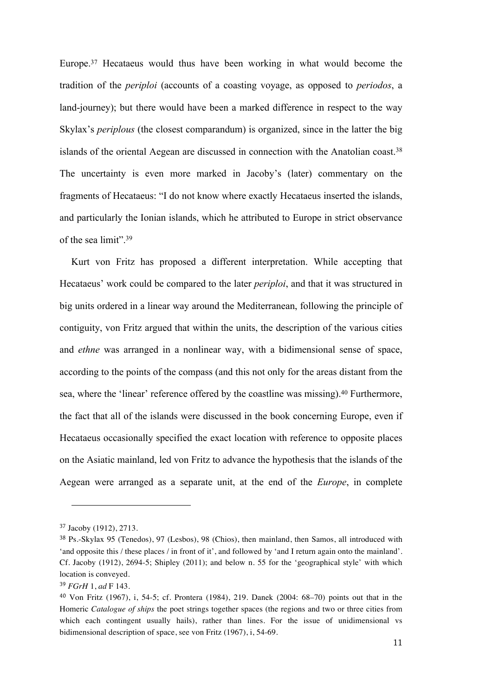Europe.37 Hecataeus would thus have been working in what would become the tradition of the *periploi* (accounts of a coasting voyage, as opposed to *periodos*, a land-journey); but there would have been a marked difference in respect to the way Skylax's *periplous* (the closest comparandum) is organized, since in the latter the big islands of the oriental Aegean are discussed in connection with the Anatolian coast.<sup>38</sup> The uncertainty is even more marked in Jacoby's (later) commentary on the fragments of Hecataeus: "I do not know where exactly Hecataeus inserted the islands, and particularly the Ionian islands, which he attributed to Europe in strict observance of the sea limit" 39

Kurt von Fritz has proposed a different interpretation. While accepting that Hecataeus' work could be compared to the later *periploi*, and that it was structured in big units ordered in a linear way around the Mediterranean, following the principle of contiguity, von Fritz argued that within the units, the description of the various cities and *ethne* was arranged in a nonlinear way, with a bidimensional sense of space, according to the points of the compass (and this not only for the areas distant from the sea, where the 'linear' reference offered by the coastline was missing).40 Furthermore, the fact that all of the islands were discussed in the book concerning Europe, even if Hecataeus occasionally specified the exact location with reference to opposite places on the Asiatic mainland, led von Fritz to advance the hypothesis that the islands of the Aegean were arranged as a separate unit, at the end of the *Europe*, in complete

<sup>37</sup> Jacoby (1912), 2713.

<sup>38</sup> Ps.-Skylax 95 (Tenedos), 97 (Lesbos), 98 (Chios), then mainland, then Samos, all introduced with 'and opposite this / these places / in front of it', and followed by 'and I return again onto the mainland'. Cf. Jacoby (1912), 2694-5; Shipley (2011); and below n. 55 for the 'geographical style' with which location is conveyed.

<sup>39</sup> *FGrH* 1, *ad* F 143.

<sup>40</sup> Von Fritz (1967), i, 54-5; cf. Prontera (1984), 219. Danek (2004: 68–70) points out that in the Homeric *Catalogue of ships* the poet strings together spaces (the regions and two or three cities from which each contingent usually hails), rather than lines. For the issue of unidimensional vs bidimensional description of space, see von Fritz (1967), i, 54-69.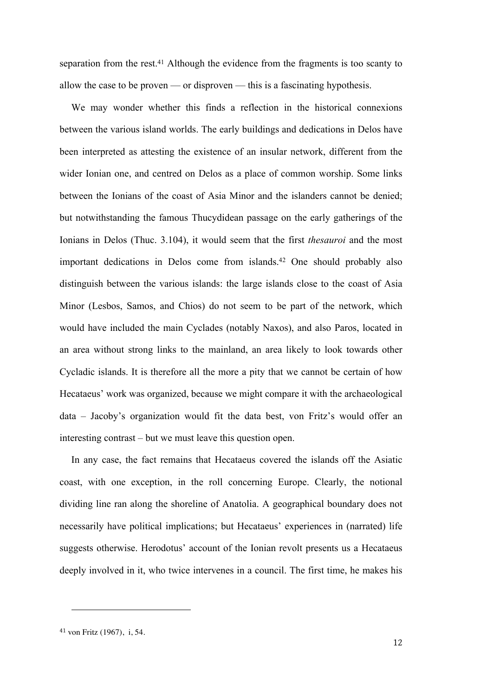separation from the rest.<sup>41</sup> Although the evidence from the fragments is too scanty to allow the case to be proven — or disproven — this is a fascinating hypothesis.

We may wonder whether this finds a reflection in the historical connexions between the various island worlds. The early buildings and dedications in Delos have been interpreted as attesting the existence of an insular network, different from the wider Ionian one, and centred on Delos as a place of common worship. Some links between the Ionians of the coast of Asia Minor and the islanders cannot be denied; but notwithstanding the famous Thucydidean passage on the early gatherings of the Ionians in Delos (Thuc. 3.104), it would seem that the first *thesauroi* and the most important dedications in Delos come from islands.42 One should probably also distinguish between the various islands: the large islands close to the coast of Asia Minor (Lesbos, Samos, and Chios) do not seem to be part of the network, which would have included the main Cyclades (notably Naxos), and also Paros, located in an area without strong links to the mainland, an area likely to look towards other Cycladic islands. It is therefore all the more a pity that we cannot be certain of how Hecataeus' work was organized, because we might compare it with the archaeological data – Jacoby's organization would fit the data best, von Fritz's would offer an interesting contrast – but we must leave this question open.

In any case, the fact remains that Hecataeus covered the islands off the Asiatic coast, with one exception, in the roll concerning Europe. Clearly, the notional dividing line ran along the shoreline of Anatolia. A geographical boundary does not necessarily have political implications; but Hecataeus' experiences in (narrated) life suggests otherwise. Herodotus' account of the Ionian revolt presents us a Hecataeus deeply involved in it, who twice intervenes in a council. The first time, he makes his

<sup>41</sup> von Fritz (1967), i, 54.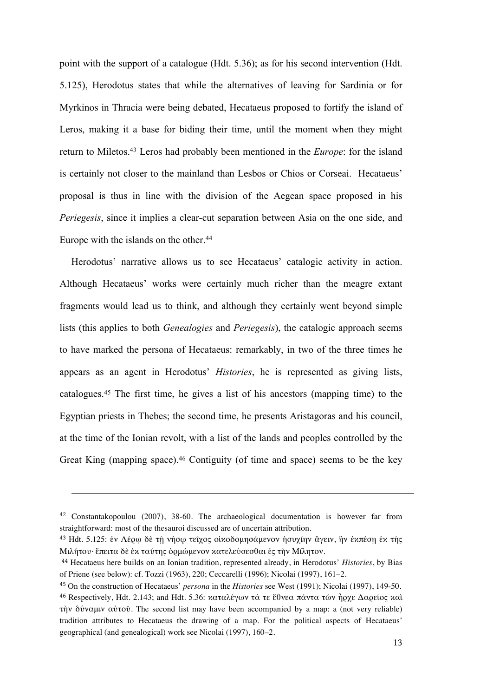point with the support of a catalogue (Hdt. 5.36); as for his second intervention (Hdt. 5.125), Herodotus states that while the alternatives of leaving for Sardinia or for Myrkinos in Thracia were being debated, Hecataeus proposed to fortify the island of Leros, making it a base for biding their time, until the moment when they might return to Miletos.43 Leros had probably been mentioned in the *Europe*: for the island is certainly not closer to the mainland than Lesbos or Chios or Corseai. Hecataeus' proposal is thus in line with the division of the Aegean space proposed in his *Periegesis*, since it implies a clear-cut separation between Asia on the one side, and Europe with the islands on the other.<sup>44</sup>

Herodotus' narrative allows us to see Hecataeus' catalogic activity in action. Although Hecataeus' works were certainly much richer than the meagre extant fragments would lead us to think, and although they certainly went beyond simple lists (this applies to both *Genealogies* and *Periegesis*), the catalogic approach seems to have marked the persona of Hecataeus: remarkably, in two of the three times he appears as an agent in Herodotus' *Histories*, he is represented as giving lists, catalogues.45 The first time, he gives a list of his ancestors (mapping time) to the Egyptian priests in Thebes; the second time, he presents Aristagoras and his council, at the time of the Ionian revolt, with a list of the lands and peoples controlled by the Great King (mapping space).<sup>46</sup> Contiguity (of time and space) seems to be the key

<sup>42</sup> Constantakopoulou (2007), 38-60. The archaeological documentation is however far from straightforward: most of the thesauroi discussed are of uncertain attribution.

<sup>&</sup>lt;sup>43</sup> Hdt. 5.125: ἐν Λέρω δὲ τῆ νήσω τεῖχος οἰκοδομησάμενον ἠσυχίην ἄγειν, ἢν ἐκπέσῃ ἐκ τῆς Μιλήτου· ἔπειτα δὲ ἐκ ταύτης ὁρμώμενον κατελεύσεσθαι ἐς τὴν Μίλητον.

<sup>44</sup> Hecataeus here builds on an Ionian tradition, represented already, in Herodotus' *Histories*, by Bias of Priene (see below): cf. Tozzi (1963), 220; Ceccarelli (1996); Nicolai (1997), 161–2.

<sup>45</sup> On the construction of Hecataeus' *persona* in the *Histories* see West (1991); Nicolai (1997), 149-50.

<sup>&</sup>lt;sup>46</sup> Respectively, Hdt. 2.143; and Hdt. 5.36: καταλέγων τά τε έθνεα πάντα τῶν ἦρχε Δαρεῖος καὶ τὴν δύναμιν αὐτοῦ. The second list may have been accompanied by a map: a (not very reliable) tradition attributes to Hecataeus the drawing of a map. For the political aspects of Hecataeus' geographical (and genealogical) work see Nicolai (1997), 160–2.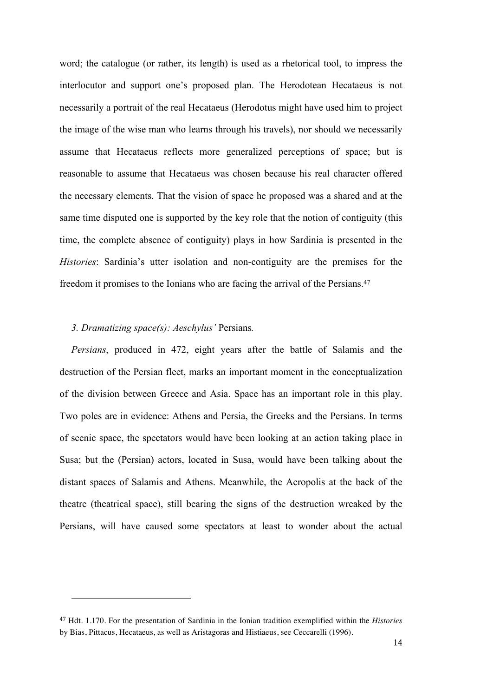word; the catalogue (or rather, its length) is used as a rhetorical tool, to impress the interlocutor and support one's proposed plan. The Herodotean Hecataeus is not necessarily a portrait of the real Hecataeus (Herodotus might have used him to project the image of the wise man who learns through his travels), nor should we necessarily assume that Hecataeus reflects more generalized perceptions of space; but is reasonable to assume that Hecataeus was chosen because his real character offered the necessary elements. That the vision of space he proposed was a shared and at the same time disputed one is supported by the key role that the notion of contiguity (this time, the complete absence of contiguity) plays in how Sardinia is presented in the *Histories*: Sardinia's utter isolation and non-contiguity are the premises for the freedom it promises to the Ionians who are facing the arrival of the Persians.47

# *3. Dramatizing space(s): Aeschylus'* Persians*.*

 $\overline{a}$ 

*Persians*, produced in 472, eight years after the battle of Salamis and the destruction of the Persian fleet, marks an important moment in the conceptualization of the division between Greece and Asia. Space has an important role in this play. Two poles are in evidence: Athens and Persia, the Greeks and the Persians. In terms of scenic space, the spectators would have been looking at an action taking place in Susa; but the (Persian) actors, located in Susa, would have been talking about the distant spaces of Salamis and Athens. Meanwhile, the Acropolis at the back of the theatre (theatrical space), still bearing the signs of the destruction wreaked by the Persians, will have caused some spectators at least to wonder about the actual

<sup>47</sup> Hdt. 1.170. For the presentation of Sardinia in the Ionian tradition exemplified within the *Histories* by Bias, Pittacus, Hecataeus, as well as Aristagoras and Histiaeus, see Ceccarelli (1996).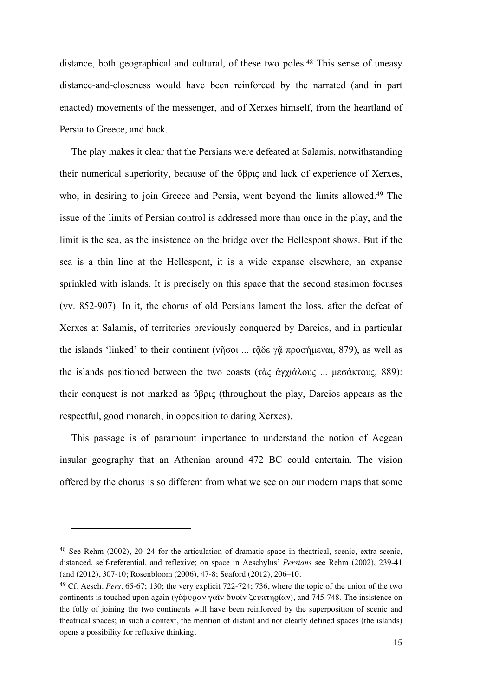distance, both geographical and cultural, of these two poles.48 This sense of uneasy distance-and-closeness would have been reinforced by the narrated (and in part enacted) movements of the messenger, and of Xerxes himself, from the heartland of Persia to Greece, and back.

The play makes it clear that the Persians were defeated at Salamis, notwithstanding their numerical superiority, because of the ὕβρις and lack of experience of Xerxes, who, in desiring to join Greece and Persia, went beyond the limits allowed.<sup>49</sup> The issue of the limits of Persian control is addressed more than once in the play, and the limit is the sea, as the insistence on the bridge over the Hellespont shows. But if the sea is a thin line at the Hellespont, it is a wide expanse elsewhere, an expanse sprinkled with islands. It is precisely on this space that the second stasimon focuses (vv. 852-907). In it, the chorus of old Persians lament the loss, after the defeat of Xerxes at Salamis, of territories previously conquered by Dareios, and in particular the islands 'linked' to their continent (νῆσοι ... τῷδε γῷ προσήμεναι, 879), as well as the islands positioned between the two coasts (τὰς ἀγχιάλους ... µεσάκτους, 889): their conquest is not marked as ὕβρις (throughout the play, Dareios appears as the respectful, good monarch, in opposition to daring Xerxes).

This passage is of paramount importance to understand the notion of Aegean insular geography that an Athenian around 472 BC could entertain. The vision offered by the chorus is so different from what we see on our modern maps that some

<sup>48</sup> See Rehm (2002), 20–24 for the articulation of dramatic space in theatrical, scenic, extra-scenic, distanced, self-referential, and reflexive; on space in Aeschylus' *Persians* see Rehm (2002), 239-41 (and (2012), 307-10; Rosenbloom (2006), 47-8; Seaford (2012), 206–10.

<sup>49</sup> Cf. Aesch. *Pers.* 65-67; 130; the very explicit 722-724; 736, where the topic of the union of the two continents is touched upon again (γέφυραν γαῖν δυοῖν ζευκτηρίαν), and 745-748. The insistence on the folly of joining the two continents will have been reinforced by the superposition of scenic and theatrical spaces; in such a context, the mention of distant and not clearly defined spaces (the islands) opens a possibility for reflexive thinking.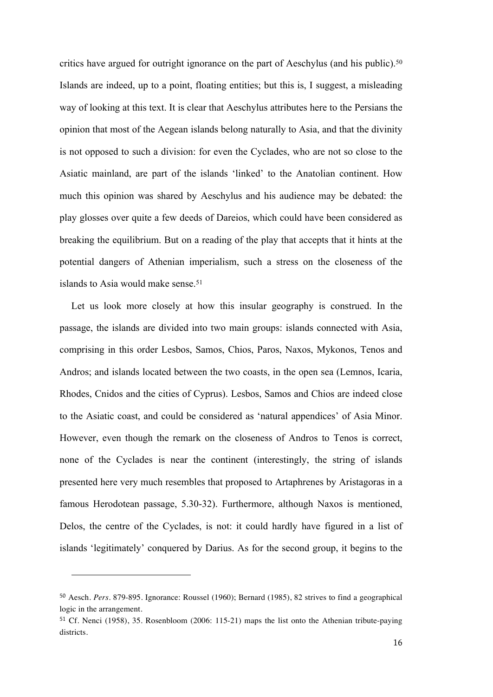critics have argued for outright ignorance on the part of Aeschylus (and his public).<sup>50</sup> Islands are indeed, up to a point, floating entities; but this is, I suggest, a misleading way of looking at this text. It is clear that Aeschylus attributes here to the Persians the opinion that most of the Aegean islands belong naturally to Asia, and that the divinity is not opposed to such a division: for even the Cyclades, who are not so close to the Asiatic mainland, are part of the islands 'linked' to the Anatolian continent. How much this opinion was shared by Aeschylus and his audience may be debated: the play glosses over quite a few deeds of Dareios, which could have been considered as breaking the equilibrium. But on a reading of the play that accepts that it hints at the potential dangers of Athenian imperialism, such a stress on the closeness of the islands to Asia would make sense.<sup>51</sup>

Let us look more closely at how this insular geography is construed. In the passage, the islands are divided into two main groups: islands connected with Asia, comprising in this order Lesbos, Samos, Chios, Paros, Naxos, Mykonos, Tenos and Andros; and islands located between the two coasts, in the open sea (Lemnos, Icaria, Rhodes, Cnidos and the cities of Cyprus). Lesbos, Samos and Chios are indeed close to the Asiatic coast, and could be considered as 'natural appendices' of Asia Minor. However, even though the remark on the closeness of Andros to Tenos is correct, none of the Cyclades is near the continent (interestingly, the string of islands presented here very much resembles that proposed to Artaphrenes by Aristagoras in a famous Herodotean passage, 5.30-32). Furthermore, although Naxos is mentioned, Delos, the centre of the Cyclades, is not: it could hardly have figured in a list of islands 'legitimately' conquered by Darius. As for the second group, it begins to the

<sup>50</sup> Aesch. *Pers*. 879-895. Ignorance: Roussel (1960); Bernard (1985), 82 strives to find a geographical logic in the arrangement.

<sup>51</sup> Cf. Nenci (1958), 35. Rosenbloom (2006: 115-21) maps the list onto the Athenian tribute-paying districts.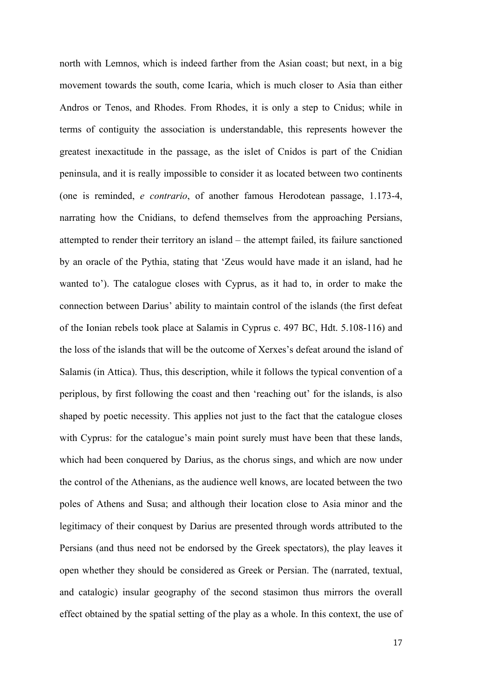north with Lemnos, which is indeed farther from the Asian coast; but next, in a big movement towards the south, come Icaria, which is much closer to Asia than either Andros or Tenos, and Rhodes. From Rhodes, it is only a step to Cnidus; while in terms of contiguity the association is understandable, this represents however the greatest inexactitude in the passage, as the islet of Cnidos is part of the Cnidian peninsula, and it is really impossible to consider it as located between two continents (one is reminded, *e contrario*, of another famous Herodotean passage, 1.173-4, narrating how the Cnidians, to defend themselves from the approaching Persians, attempted to render their territory an island – the attempt failed, its failure sanctioned by an oracle of the Pythia, stating that 'Zeus would have made it an island, had he wanted to'). The catalogue closes with Cyprus, as it had to, in order to make the connection between Darius' ability to maintain control of the islands (the first defeat of the Ionian rebels took place at Salamis in Cyprus c. 497 BC, Hdt. 5.108-116) and the loss of the islands that will be the outcome of Xerxes's defeat around the island of Salamis (in Attica). Thus, this description, while it follows the typical convention of a periplous, by first following the coast and then 'reaching out' for the islands, is also shaped by poetic necessity. This applies not just to the fact that the catalogue closes with Cyprus: for the catalogue's main point surely must have been that these lands, which had been conquered by Darius, as the chorus sings, and which are now under the control of the Athenians, as the audience well knows, are located between the two poles of Athens and Susa; and although their location close to Asia minor and the legitimacy of their conquest by Darius are presented through words attributed to the Persians (and thus need not be endorsed by the Greek spectators), the play leaves it open whether they should be considered as Greek or Persian. The (narrated, textual, and catalogic) insular geography of the second stasimon thus mirrors the overall effect obtained by the spatial setting of the play as a whole. In this context, the use of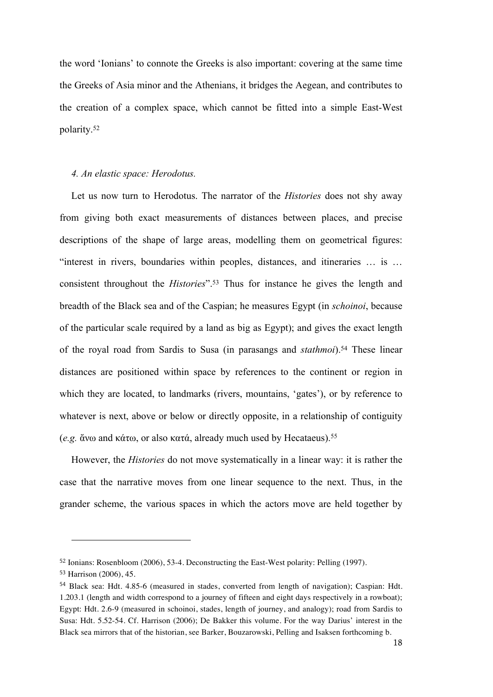the word 'Ionians' to connote the Greeks is also important: covering at the same time the Greeks of Asia minor and the Athenians, it bridges the Aegean, and contributes to the creation of a complex space, which cannot be fitted into a simple East-West polarity.52

## *4. An elastic space: Herodotus.*

Let us now turn to Herodotus. The narrator of the *Histories* does not shy away from giving both exact measurements of distances between places, and precise descriptions of the shape of large areas, modelling them on geometrical figures: "interest in rivers, boundaries within peoples, distances, and itineraries … is … consistent throughout the *Histories*".53 Thus for instance he gives the length and breadth of the Black sea and of the Caspian; he measures Egypt (in *schoinoi*, because of the particular scale required by a land as big as Egypt); and gives the exact length of the royal road from Sardis to Susa (in parasangs and *stathmoi*).54 These linear distances are positioned within space by references to the continent or region in which they are located, to landmarks (rivers, mountains, 'gates'), or by reference to whatever is next, above or below or directly opposite, in a relationship of contiguity (*e.g.* ἄνω and κάτω, or also κατά, already much used by Hecataeus).55

However, the *Histories* do not move systematically in a linear way: it is rather the case that the narrative moves from one linear sequence to the next. Thus, in the grander scheme, the various spaces in which the actors move are held together by

<sup>52</sup> Ionians: Rosenbloom (2006), 53-4. Deconstructing the East-West polarity: Pelling (1997).

<sup>53</sup> Harrison (2006), 45.

<sup>54</sup> Black sea: Hdt. 4.85-6 (measured in stades, converted from length of navigation); Caspian: Hdt. 1.203.1 (length and width correspond to a journey of fifteen and eight days respectively in a rowboat); Egypt: Hdt. 2.6-9 (measured in schoinoi, stades, length of journey, and analogy); road from Sardis to Susa: Hdt. 5.52-54. Cf. Harrison (2006); De Bakker this volume. For the way Darius' interest in the Black sea mirrors that of the historian, see Barker, Bouzarowski, Pelling and Isaksen forthcoming b.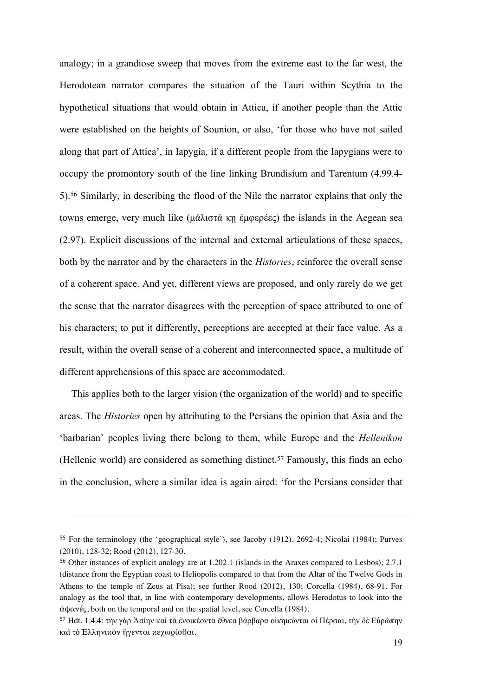analogy; in a grandiose sweep that moves from the extreme east to the far west, the Herodotean narrator compares the situation of the Tauri within Scythia to the hypothetical situations that would obtain in Attica, if another people than the Attic were established on the heights of Sounion, or also, 'for those who have not sailed along that part of Attica', in Iapygia, if a different people from the Iapygians were to occupy the promontory south of the line linking Brundisium and Tarentum (4.99.4- 5).56 Similarly, in describing the flood of the Nile the narrator explains that only the towns emerge, very much like (µάλιστά κῃ ἐµφερέες) the islands in the Aegean sea (2.97). Explicit discussions of the internal and external articulations of these spaces, both by the narrator and by the characters in the *Histories*, reinforce the overall sense of a coherent space. And yet, different views are proposed, and only rarely do we get the sense that the narrator disagrees with the perception of space attributed to one of his characters; to put it differently, perceptions are accepted at their face value. As a result, within the overall sense of a coherent and interconnected space, a multitude of different apprehensions of this space are accommodated.

This applies both to the larger vision (the organization of the world) and to specific areas. The *Histories* open by attributing to the Persians the opinion that Asia and the 'barbarian' peoples living there belong to them, while Europe and the *Hellenikon* (Hellenic world) are considered as something distinct.<sup>57</sup> Famously, this finds an echo in the conclusion, where a similar idea is again aired: 'for the Persians consider that

<sup>55</sup> For the terminology (the 'geographical style'), see Jacoby (1912), 2692-4; Nicolai (1984); Purves (2010), 128-32; Rood (2012), 127-30.

<sup>56</sup> Other instances of explicit analogy are at 1.202.1 (islands in the Araxes compared to Lesbos); 2.7.1 (distance from the Egyptian coast to Heliopolis compared to that from the Altar of the Twelve Gods in Athens to the temple of Zeus at Pisa); see further Rood (2012), 130; Corcella (1984), 68-91. For analogy as the tool that, in line with contemporary developments, allows Herodotus to look into the ἀφανές, both on the temporal and on the spatial level, see Corcella (1984).

<sup>57</sup> Hdt. 1.4.4: τὴν γὰρ Ἀσίην καὶ τὰ ἐνοικέοντα ἔθνεα βάρβαρα οἰκηιεύνται οἱ Πέρσαι, τὴν δὲ Εὐρώπην καὶ τὸ ̔Ελληνικὸν ἤγενται κεχωρίσθαι.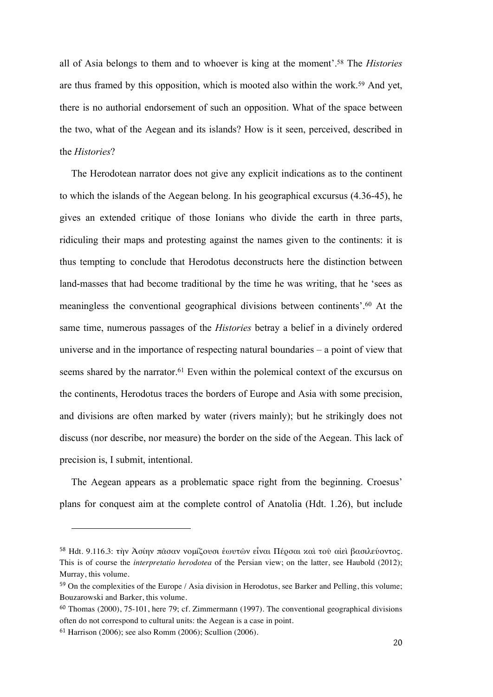all of Asia belongs to them and to whoever is king at the moment'.58 The *Histories* are thus framed by this opposition, which is mooted also within the work.59 And yet, there is no authorial endorsement of such an opposition. What of the space between the two, what of the Aegean and its islands? How is it seen, perceived, described in the *Histories*?

The Herodotean narrator does not give any explicit indications as to the continent to which the islands of the Aegean belong. In his geographical excursus (4.36-45), he gives an extended critique of those Ionians who divide the earth in three parts, ridiculing their maps and protesting against the names given to the continents: it is thus tempting to conclude that Herodotus deconstructs here the distinction between land-masses that had become traditional by the time he was writing, that he 'sees as meaningless the conventional geographical divisions between continents'.60 At the same time, numerous passages of the *Histories* betray a belief in a divinely ordered universe and in the importance of respecting natural boundaries – a point of view that seems shared by the narrator.<sup>61</sup> Even within the polemical context of the excursus on the continents, Herodotus traces the borders of Europe and Asia with some precision, and divisions are often marked by water (rivers mainly); but he strikingly does not discuss (nor describe, nor measure) the border on the side of the Aegean. This lack of precision is, I submit, intentional.

The Aegean appears as a problematic space right from the beginning. Croesus' plans for conquest aim at the complete control of Anatolia (Hdt. 1.26), but include

<sup>58</sup> Hdt. 9.116.3: τὴν Ἀσίην πᾶσαν νομίζουσι ἑωυτῶν εἶναι Πέρσαι καὶ τοῦ αἰεὶ βασιλεύοντος. This is of course the *interpretatio herodotea* of the Persian view; on the latter, see Haubold (2012); Murray, this volume.

<sup>59</sup> On the complexities of the Europe / Asia division in Herodotus, see Barker and Pelling, this volume; Bouzarowski and Barker, this volume.

<sup>60</sup> Thomas (2000), 75-101, here 79; cf. Zimmermann (1997). The conventional geographical divisions often do not correspond to cultural units: the Aegean is a case in point.

<sup>61</sup> Harrison (2006); see also Romm (2006); Scullion (2006).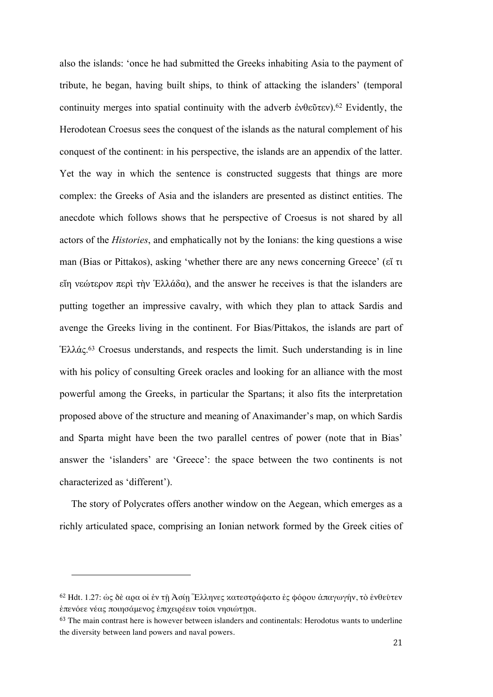also the islands: 'once he had submitted the Greeks inhabiting Asia to the payment of tribute, he began, having built ships, to think of attacking the islanders' (temporal continuity merges into spatial continuity with the adverb ἐνθεῦτεν).<sup>62</sup> Evidently, the Herodotean Croesus sees the conquest of the islands as the natural complement of his conquest of the continent: in his perspective, the islands are an appendix of the latter. Yet the way in which the sentence is constructed suggests that things are more complex: the Greeks of Asia and the islanders are presented as distinct entities. The anecdote which follows shows that he perspective of Croesus is not shared by all actors of the *Histories*, and emphatically not by the Ionians: the king questions a wise man (Bias or Pittakos), asking 'whether there are any news concerning Greece' (εἴ τι εἴη νεώτερον περὶ τὴν Ἑλλάδα), and the answer he receives is that the islanders are putting together an impressive cavalry, with which they plan to attack Sardis and avenge the Greeks living in the continent. For Bias/Pittakos, the islands are part of Ἑλλάς. <sup>63</sup> Croesus understands, and respects the limit. Such understanding is in line with his policy of consulting Greek oracles and looking for an alliance with the most powerful among the Greeks, in particular the Spartans; it also fits the interpretation proposed above of the structure and meaning of Anaximander's map, on which Sardis and Sparta might have been the two parallel centres of power (note that in Bias' answer the 'islanders' are 'Greece': the space between the two continents is not characterized as 'different').

The story of Polycrates offers another window on the Aegean, which emerges as a richly articulated space, comprising an Ionian network formed by the Greek cities of

<sup>62</sup> Hdt. 1.27: ὡς δὲ αρα οἱ ἐν τῇ Ἀσίῃ Ἕλληνες κατεστράφατο ἐς φόρου ἀπαγωγήν, τὸ ἐνθεῦτεν έπενόεε νέας ποιησάμενος έπιχειρέειν τοΐσι νησιώτησι.

<sup>&</sup>lt;sup>63</sup> The main contrast here is however between islanders and continentals: Herodotus wants to underline the diversity between land powers and naval powers.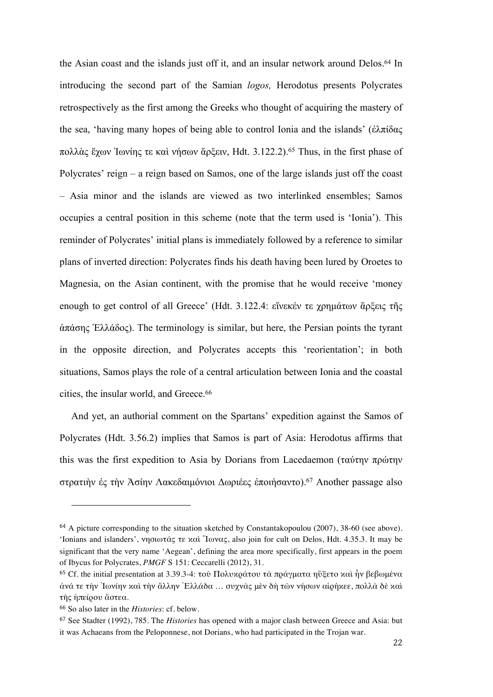the Asian coast and the islands just off it, and an insular network around Delos.64 In introducing the second part of the Samian *logos,* Herodotus presents Polycrates retrospectively as the first among the Greeks who thought of acquiring the mastery of the sea, 'having many hopes of being able to control Ionia and the islands' (ἐλπίδας πολλὰς ἔχων Ἰωνίης τε καὶ νήσων ἄρξειν, Hdt. 3.122.2).65 Thus, in the first phase of Polycrates' reign – a reign based on Samos, one of the large islands just off the coast – Asia minor and the islands are viewed as two interlinked ensembles; Samos occupies a central position in this scheme (note that the term used is 'Ionia'). This reminder of Polycrates' initial plans is immediately followed by a reference to similar plans of inverted direction: Polycrates finds his death having been lured by Oroetes to Magnesia, on the Asian continent, with the promise that he would receive 'money enough to get control of all Greece' (Hdt. 3.122.4: εἵνεκέν τε χρημάτων ἄρξεις τῆς ἁπάσης Ἑλλάδος). Τhe terminology is similar, but here, the Persian points the tyrant in the opposite direction, and Polycrates accepts this 'reorientation'; in both situations, Samos plays the role of a central articulation between Ionia and the coastal cities, the insular world, and Greece.<sup>66</sup>

And yet, an authorial comment on the Spartans' expedition against the Samos of Polycrates (Hdt. 3.56.2) implies that Samos is part of Asia: Herodotus affirms that this was the first expedition to Asia by Dorians from Lacedaemon (ταύτην πρώτην στρατιὴν ἐς τὴν Ἀσίην Λακεδαιµόνιοι Δωριέες ἐποιήσαντο).67 Another passage also

 $64$  A picture corresponding to the situation sketched by Constantakopoulou (2007), 38-60 (see above). 'Ionians and islanders', νησιωτάς τε καὶ Ἴωνας, also join for cult on Delos, Hdt. 4.35.3. It may be significant that the very name 'Aegean', defining the area more specifically, first appears in the poem of Ibycus for Polycrates, *PMGF* S 151: Ceccarelli (2012), 31.

<sup>&</sup>lt;sup>65</sup> Cf. the initial presentation at 3.39.3-4: τοῦ Πολυκράτου τὰ πράγματα ηὕξετο καὶ ἦν βεβωμένα ἀνά τε τὴν Ἰωνίην καὶ τὴν ἄλλην Ἑλλάδα … συχνὰς μὲν δὴ τῶν νήσων αἱρήκεε, πολλὰ δὲ καὶ τῆς ἠπείρου ἄστεα.

<sup>66</sup> So also later in the *Histories*: cf. below.

<sup>67</sup> See Stadter (1992), 785. The *Histories* has opened with a major clash between Greece and Asia: but it was Achaeans from the Peloponnese, not Dorians, who had participated in the Trojan war.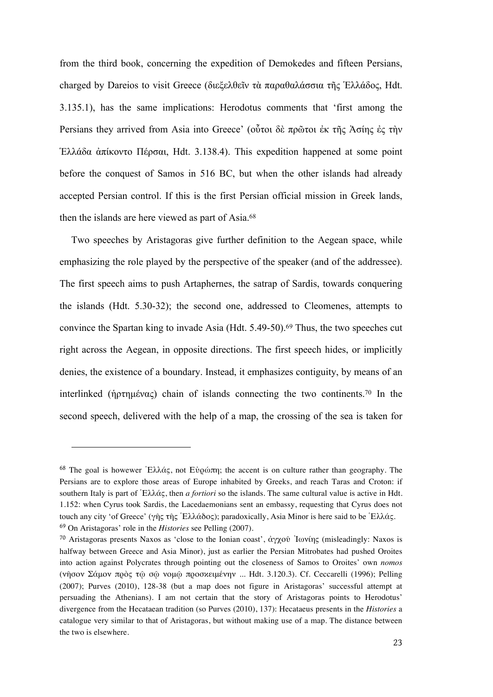from the third book, concerning the expedition of Demokedes and fifteen Persians, charged by Dareios to visit Greece (διεξελθεῖν τὰ παραθαλάσσια τῆς Ἑλλάδος, Hdt. 3.135.1), has the same implications: Herodotus comments that 'first among the Persians they arrived from Asia into Greece' (οὗτοι δὲ πρῶτοι ἐκ τῆς Ἀσίης ἐς τὴν Ἑλλάδα ἀπίκοντο Πέρσαι, Hdt. 3.138.4). This expedition happened at some point before the conquest of Samos in 516 BC, but when the other islands had already accepted Persian control. If this is the first Persian official mission in Greek lands, then the islands are here viewed as part of Asia.<sup>68</sup>

Two speeches by Aristagoras give further definition to the Aegean space, while emphasizing the role played by the perspective of the speaker (and of the addressee). The first speech aims to push Artaphernes, the satrap of Sardis, towards conquering the islands (Hdt. 5.30-32); the second one, addressed to Cleomenes, attempts to convince the Spartan king to invade Asia (Hdt. 5.49-50).<sup>69</sup> Thus, the two speeches cut right across the Aegean, in opposite directions. The first speech hides, or implicitly denies, the existence of a boundary. Instead, it emphasizes contiguity, by means of an interlinked (ήρτημένας) chain of islands connecting the two continents.<sup>70</sup> In the second speech, delivered with the help of a map, the crossing of the sea is taken for

<sup>&</sup>lt;sup>68</sup> The goal is howewer Eλλάς, not Εὐρώπη; the accent is on culture rather than geography. The Persians are to explore those areas of Europe inhabited by Greeks, and reach Taras and Croton: if southern Italy is part of Ἑλλάς, then *a fortiori* so the islands. The same cultural value is active in Hdt. 1.152: when Cyrus took Sardis, the Lacedaemonians sent an embassy, requesting that Cyrus does not touch any city 'of Greece' (γῆς τῆς Ἑλλάδος); paradoxically, Asia Minor is here said to be Ἑλλάς. <sup>69</sup> On Aristagoras' role in the *Histories* see Pelling (2007).

<sup>&</sup>lt;sup>70</sup> Aristagoras presents Naxos as 'close to the Ionian coast', άγχοῦ Ἰωνίης (misleadingly: Naxos is halfway between Greece and Asia Minor), just as earlier the Persian Mitrobates had pushed Oroites into action against Polycrates through pointing out the closeness of Samos to Oroites' own *nomos* (νῆσον Σάμον πρὸς τῷ σῷ νομῷ προσκειμένην ... Hdt. 3.120.3). Cf. Ceccarelli (1996); Pelling (2007); Purves (2010), 128-38 (but a map does not figure in Aristagoras' successful attempt at persuading the Athenians). I am not certain that the story of Aristagoras points to Herodotus' divergence from the Hecataean tradition (so Purves (2010), 137): Hecataeus presents in the *Histories* a catalogue very similar to that of Aristagoras, but without making use of a map. The distance between the two is elsewhere.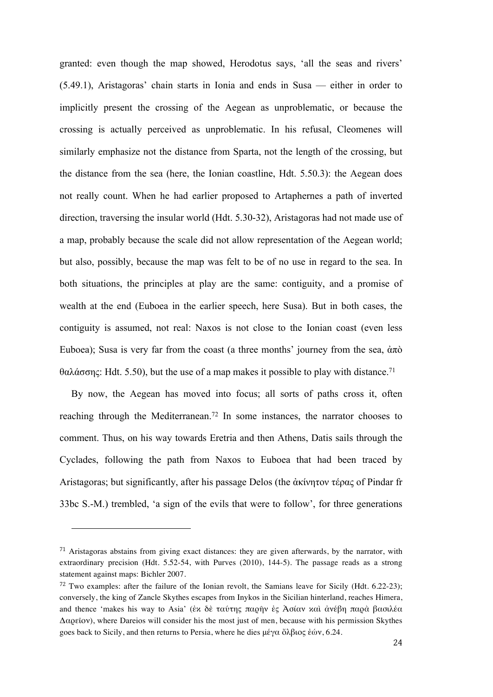granted: even though the map showed, Herodotus says, 'all the seas and rivers' (5.49.1), Aristagoras' chain starts in Ionia and ends in Susa — either in order to implicitly present the crossing of the Aegean as unproblematic, or because the crossing is actually perceived as unproblematic. In his refusal, Cleomenes will similarly emphasize not the distance from Sparta, not the length of the crossing, but the distance from the sea (here, the Ionian coastline, Hdt. 5.50.3): the Aegean does not really count. When he had earlier proposed to Artaphernes a path of inverted direction, traversing the insular world (Hdt. 5.30-32), Aristagoras had not made use of a map, probably because the scale did not allow representation of the Aegean world; but also, possibly, because the map was felt to be of no use in regard to the sea. In both situations, the principles at play are the same: contiguity, and a promise of wealth at the end (Euboea in the earlier speech, here Susa). But in both cases, the contiguity is assumed, not real: Naxos is not close to the Ionian coast (even less Euboea); Susa is very far from the coast (a three months' journey from the sea, άπὸ θαλάσσης: Hdt. 5.50), but the use of a map makes it possible to play with distance.71

By now, the Aegean has moved into focus; all sorts of paths cross it, often reaching through the Mediterranean.72 In some instances, the narrator chooses to comment. Thus, on his way towards Eretria and then Athens, Datis sails through the Cyclades, following the path from Naxos to Euboea that had been traced by Aristagoras; but significantly, after his passage Delos (the ἀκίνητον τέρας of Pindar fr 33bc S.-M.) trembled, 'a sign of the evils that were to follow', for three generations

 $71$  Aristagoras abstains from giving exact distances: they are given afterwards, by the narrator, with extraordinary precision (Hdt. 5.52-54, with Purves (2010), 144-5). The passage reads as a strong statement against maps: Bichler 2007.

<sup>&</sup>lt;sup>72</sup> Two examples: after the failure of the Ionian revolt, the Samians leave for Sicily (Hdt.  $6.22-23$ ); conversely, the king of Zancle Skythes escapes from Inykos in the Sicilian hinterland, reaches Himera, and thence 'makes his way to Asia' (ἐκ δὲ ταύτης παρῆν ἐς Ἀσίαν καὶ ἀνέβη παρὰ βασιλέα  $\Delta \alpha$  (b), where Dareios will consider his the most just of men, because with his permission Skythes goes back to Sicily, and then returns to Persia, where he dies μέγα ὄλβιος ἐών, 6.24.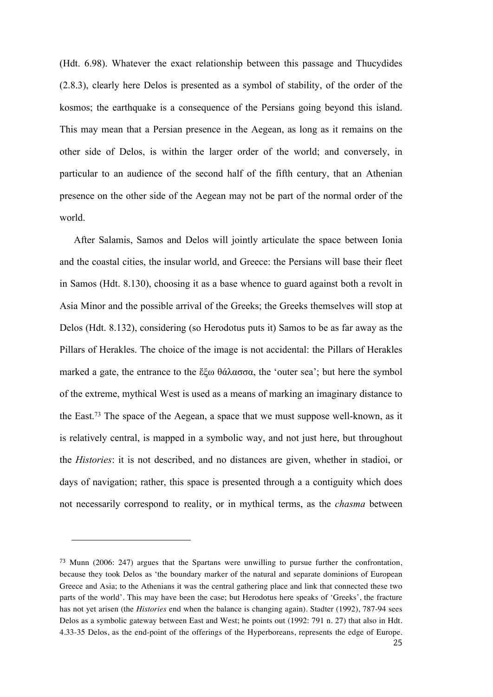(Hdt. 6.98). Whatever the exact relationship between this passage and Thucydides (2.8.3), clearly here Delos is presented as a symbol of stability, of the order of the kosmos; the earthquake is a consequence of the Persians going beyond this island. This may mean that a Persian presence in the Aegean, as long as it remains on the other side of Delos, is within the larger order of the world; and conversely, in particular to an audience of the second half of the fifth century, that an Athenian presence on the other side of the Aegean may not be part of the normal order of the world.

After Salamis, Samos and Delos will jointly articulate the space between Ionia and the coastal cities, the insular world, and Greece: the Persians will base their fleet in Samos (Hdt. 8.130), choosing it as a base whence to guard against both a revolt in Asia Minor and the possible arrival of the Greeks; the Greeks themselves will stop at Delos (Hdt. 8.132), considering (so Herodotus puts it) Samos to be as far away as the Pillars of Herakles. The choice of the image is not accidental: the Pillars of Herakles marked a gate, the entrance to the ἔξω θάλασσα, the 'outer sea'; but here the symbol of the extreme, mythical West is used as a means of marking an imaginary distance to the East.73 The space of the Aegean, a space that we must suppose well-known, as it is relatively central, is mapped in a symbolic way, and not just here, but throughout the *Histories*: it is not described, and no distances are given, whether in stadioi, or days of navigation; rather, this space is presented through a a contiguity which does not necessarily correspond to reality, or in mythical terms, as the *chasma* between

<sup>73</sup> Munn (2006: 247) argues that the Spartans were unwilling to pursue further the confrontation, because they took Delos as 'the boundary marker of the natural and separate dominions of European Greece and Asia; to the Athenians it was the central gathering place and link that connected these two parts of the world'. This may have been the case; but Herodotus here speaks of 'Greeks', the fracture has not yet arisen (the *Histories* end when the balance is changing again). Stadter (1992), 787-94 sees Delos as a symbolic gateway between East and West; he points out (1992: 791 n. 27) that also in Hdt. 4.33-35 Delos, as the end-point of the offerings of the Hyperboreans, represents the edge of Europe.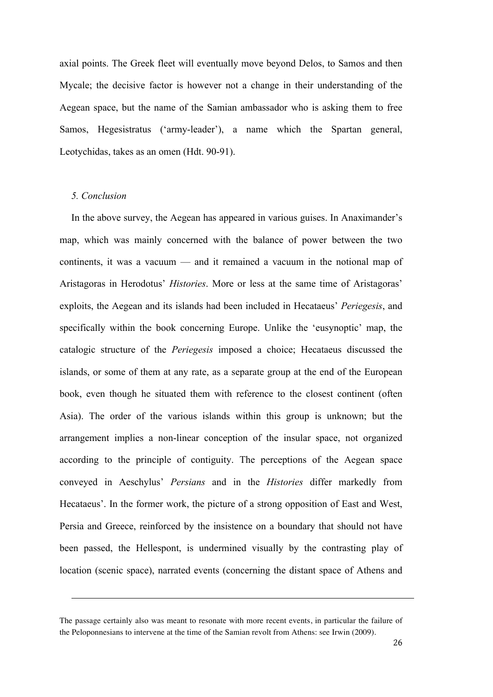axial points. The Greek fleet will eventually move beyond Delos, to Samos and then Mycale; the decisive factor is however not a change in their understanding of the Aegean space, but the name of the Samian ambassador who is asking them to free Samos, Hegesistratus ('army-leader'), a name which the Spartan general, Leotychidas, takes as an omen (Hdt. 90-91).

## *5. Conclusion*

 $\overline{a}$ 

In the above survey, the Aegean has appeared in various guises. In Anaximander's map, which was mainly concerned with the balance of power between the two continents, it was a vacuum — and it remained a vacuum in the notional map of Aristagoras in Herodotus' *Histories*. More or less at the same time of Aristagoras' exploits, the Aegean and its islands had been included in Hecataeus' *Periegesis*, and specifically within the book concerning Europe. Unlike the 'eusynoptic' map, the catalogic structure of the *Periegesis* imposed a choice; Hecataeus discussed the islands, or some of them at any rate, as a separate group at the end of the European book, even though he situated them with reference to the closest continent (often Asia). The order of the various islands within this group is unknown; but the arrangement implies a non-linear conception of the insular space, not organized according to the principle of contiguity. The perceptions of the Aegean space conveyed in Aeschylus' *Persians* and in the *Histories* differ markedly from Hecataeus'. In the former work, the picture of a strong opposition of East and West, Persia and Greece, reinforced by the insistence on a boundary that should not have been passed, the Hellespont, is undermined visually by the contrasting play of location (scenic space), narrated events (concerning the distant space of Athens and

The passage certainly also was meant to resonate with more recent events, in particular the failure of the Peloponnesians to intervene at the time of the Samian revolt from Athens: see Irwin (2009).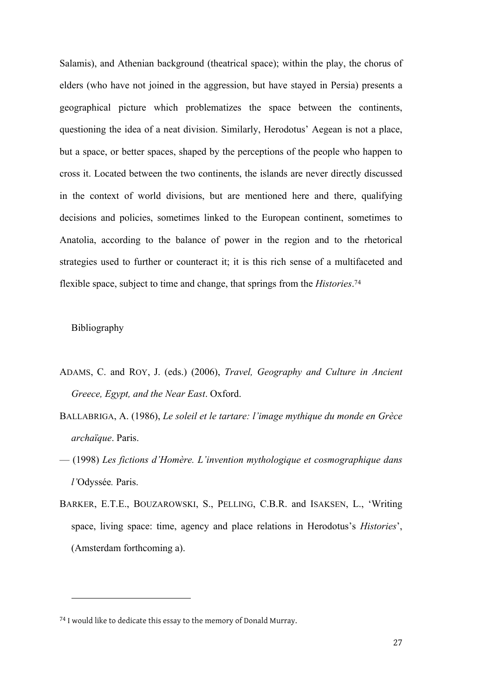Salamis), and Athenian background (theatrical space); within the play, the chorus of elders (who have not joined in the aggression, but have stayed in Persia) presents a geographical picture which problematizes the space between the continents, questioning the idea of a neat division. Similarly, Herodotus' Aegean is not a place, but a space, or better spaces, shaped by the perceptions of the people who happen to cross it. Located between the two continents, the islands are never directly discussed in the context of world divisions, but are mentioned here and there, qualifying decisions and policies, sometimes linked to the European continent, sometimes to Anatolia, according to the balance of power in the region and to the rhetorical strategies used to further or counteract it; it is this rich sense of a multifaceted and flexible space, subject to time and change, that springs from the *Histories*. 74

### Bibliography

- ADAMS, C. and ROY, J. (eds.) (2006), *Travel, Geography and Culture in Ancient Greece, Egypt, and the Near East*. Oxford.
- BALLABRIGA, A. (1986), *Le soleil et le tartare: l'image mythique du monde en Grèce archaïque*. Paris.
- (1998) *Les fictions d'Homère. L'invention mythologique et cosmographique dans l'*Odyssée*.* Paris.
- BARKER, E.T.E., BOUZAROWSKI, S., PELLING, C.B.R. and ISAKSEN, L., 'Writing space, living space: time, agency and place relations in Herodotus's *Histories*', (Amsterdam forthcoming a).

<sup>&</sup>lt;sup>74</sup> I would like to dedicate this essay to the memory of Donald Murray.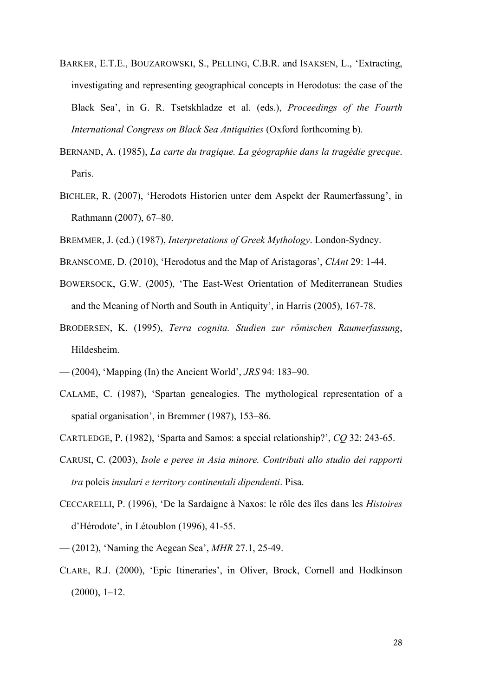- BARKER, E.T.E., BOUZAROWSKI, S., PELLING, C.B.R. and ISAKSEN, L., 'Extracting, investigating and representing geographical concepts in Herodotus: the case of the Black Sea', in G. R. Tsetskhladze et al. (eds.), *Proceedings of the Fourth International Congress on Black Sea Antiquities* (Oxford forthcoming b).
- BERNAND, A. (1985), *La carte du tragique. La géographie dans la tragédie grecque*. Paris.
- BICHLER, R. (2007), 'Herodots Historien unter dem Aspekt der Raumerfassung', in Rathmann (2007), 67–80.
- BREMMER, J. (ed.) (1987), *Interpretations of Greek Mythology*. London-Sydney.
- BRANSCOME, D. (2010), 'Herodotus and the Map of Aristagoras', *ClAnt* 29: 1-44.
- BOWERSOCK, G.W. (2005), 'The East-West Orientation of Mediterranean Studies and the Meaning of North and South in Antiquity', in Harris (2005), 167-78.
- BRODERSEN, K. (1995), *Terra cognita. Studien zur römischen Raumerfassung*, Hildesheim.
- (2004), 'Mapping (In) the Ancient World', *JRS* 94: 183–90.
- CALAME, C. (1987), 'Spartan genealogies. The mythological representation of a spatial organisation', in Bremmer (1987), 153–86.
- CARTLEDGE, P. (1982), 'Sparta and Samos: a special relationship?', *CQ* 32: 243-65.
- CARUSI, C. (2003), *Isole e peree in Asia minore. Contributi allo studio dei rapporti tra* poleis *insulari e territory continentali dipendenti*. Pisa.
- CECCARELLI, P. (1996), 'De la Sardaigne à Naxos: le rôle des îles dans les *Histoires* d'Hérodote', in Létoublon (1996), 41-55.
- (2012), 'Naming the Aegean Sea', *MHR* 27.1, 25-49.
- CLARE, R.J. (2000), 'Epic Itineraries', in Oliver, Brock, Cornell and Hodkinson  $(2000)$ , 1–12.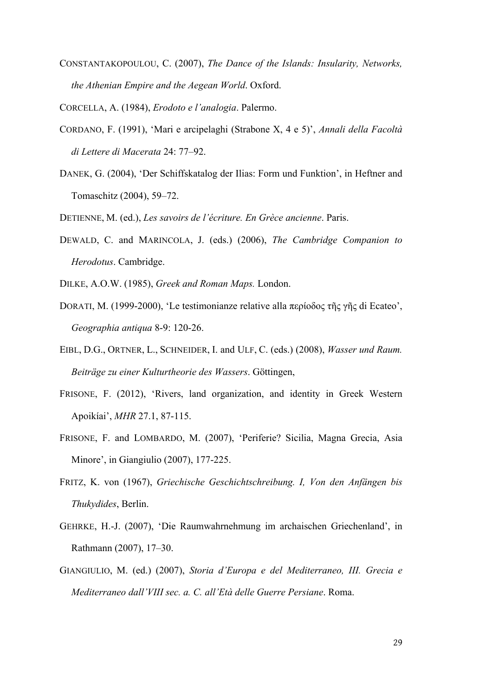CONSTANTAKOPOULOU, C. (2007), *The Dance of the Islands: Insularity, Networks, the Athenian Empire and the Aegean World*. Oxford.

CORCELLA, A. (1984), *Erodoto e l'analogia*. Palermo.

- CORDANO, F. (1991), 'Mari e arcipelaghi (Strabone X, 4 e 5)', *Annali della Facoltà di Lettere di Macerata* 24: 77–92.
- DANEK, G. (2004), 'Der Schiffskatalog der Ilias: Form und Funktion', in Heftner and Tomaschitz (2004), 59–72.
- DETIENNE, M. (ed.), *Les savoirs de l'écriture. En Grèce ancienne*. Paris.
- DEWALD, C. and MARINCOLA, J. (eds.) (2006), *The Cambridge Companion to Herodotus*. Cambridge.
- DILKE, A.O.W. (1985), *Greek and Roman Maps.* London.
- DORATI, M. (1999-2000), 'Le testimonianze relative alla περίοδος τῆς γῆς di Ecateo', *Geographia antiqua* 8-9: 120-26.
- EIBL, D.G., ORTNER, L., SCHNEIDER, I. and ULF, C. (eds.) (2008), *Wasser und Raum. Beiträge zu einer Kulturtheorie des Wassers*. Göttingen,
- FRISONE, F. (2012), 'Rivers, land organization, and identity in Greek Western Apoikíai', *MHR* 27.1, 87-115.
- FRISONE, F. and LOMBARDO, M. (2007), 'Periferie? Sicilia, Magna Grecia, Asia Minore', in Giangiulio (2007), 177-225.
- FRITZ, K. von (1967), *Griechische Geschichtschreibung. I, Von den Anfängen bis Thukydides*, Berlin.
- GEHRKE, H.-J. (2007), 'Die Raumwahrnehmung im archaischen Griechenland', in Rathmann (2007), 17–30.
- GIANGIULIO, M. (ed.) (2007), *Storia d'Europa e del Mediterraneo, III. Grecia e Mediterraneo dall'VIII sec. a. C. all'Età delle Guerre Persiane*. Roma.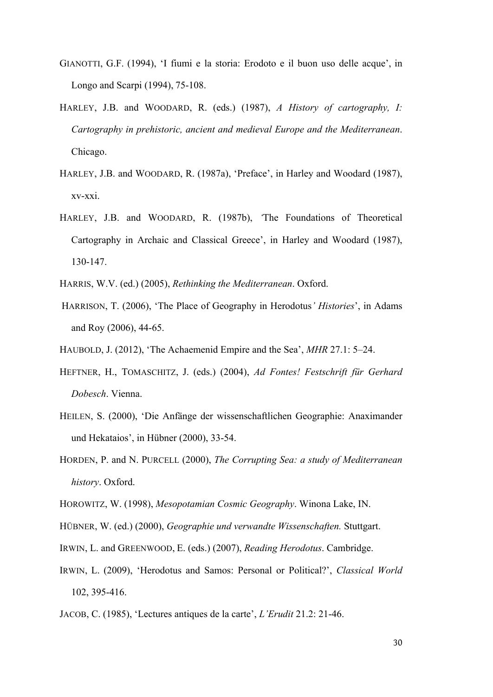- GIANOTTI, G.F. (1994), 'I fiumi e la storia: Erodoto e il buon uso delle acque', in Longo and Scarpi (1994), 75-108.
- HARLEY, J.B. and WOODARD, R. (eds.) (1987), *A History of cartography, I: Cartography in prehistoric, ancient and medieval Europe and the Mediterranean*. Chicago.
- HARLEY, J.B. and WOODARD, R. (1987a), 'Preface', in Harley and Woodard (1987), xv-xxi.
- HARLEY, J.B. and WOODARD, R. (1987b), *'*The Foundations of Theoretical Cartography in Archaic and Classical Greece', in Harley and Woodard (1987), 130-147.
- HARRIS, W.V. (ed.) (2005), *Rethinking the Mediterranean*. Oxford.
- HARRISON, T. (2006), 'The Place of Geography in Herodotus*' Histories*', in Adams and Roy (2006), 44-65.
- HAUBOLD, J. (2012), 'The Achaemenid Empire and the Sea', *MHR* 27.1: 5–24.
- HEFTNER, H., TOMASCHITZ, J. (eds.) (2004), *Ad Fontes! Festschrift für Gerhard Dobesch*. Vienna.
- HEILEN, S. (2000), 'Die Anfänge der wissenschaftlichen Geographie: Anaximander und Hekataios', in Hübner (2000), 33-54.
- HORDEN, P. and N. PURCELL (2000), *The Corrupting Sea: a study of Mediterranean history*. Oxford.
- HOROWITZ, W. (1998), *Mesopotamian Cosmic Geography*. Winona Lake, IN.
- HÜBNER, W. (ed.) (2000), *Geographie und verwandte Wissenschaften.* Stuttgart.
- IRWIN, L. and GREENWOOD, E. (eds.) (2007), *Reading Herodotus*. Cambridge.
- IRWIN, L. (2009), 'Herodotus and Samos: Personal or Political?', *Classical World* 102, 395-416.
- JACOB, C. (1985), 'Lectures antiques de la carte', *L'Erudit* 21.2: 21-46.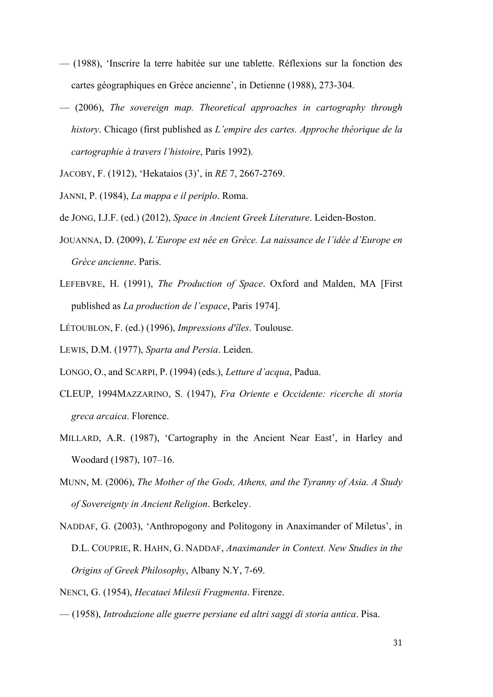- (1988), 'Inscrire la terre habitée sur une tablette. Réflexions sur la fonction des cartes géographiques en Grèce ancienne', in Detienne (1988), 273-304.
- (2006), *The sovereign map. Theoretical approaches in cartography through history*. Chicago (first published as *L'empire des cartes. Approche théorique de la cartographie à travers l'histoire*, Paris 1992).
- JACOBY, F. (1912), 'Hekataios (3)', in *RE* 7, 2667-2769.
- JANNI, P. (1984), *La mappa e il periplo*. Roma.
- de JONG, I.J.F. (ed.) (2012), *Space in Ancient Greek Literature*. Leiden-Boston.
- JOUANNA, D. (2009), *L'Europe est née en Grèce. La naissance de l'idée d'Europe en Grèce ancienne*. Paris.
- LEFEBVRE, H. (1991), *The Production of Space*. Oxford and Malden, MA [First published as *La production de l'espace*, Paris 1974].
- LÉTOUBLON, F. (ed.) (1996), *Impressions d'îles*. Toulouse.
- LEWIS, D.M. (1977), *Sparta and Persia*. Leiden.
- LONGO, O., and SCARPI, P. (1994) (eds.), *Letture d'acqua*, Padua.
- CLEUP, 1994MAZZARINO, S. (1947), *Fra Oriente e Occidente: ricerche di storia greca arcaica*. Florence.
- MILLARD, A.R. (1987), 'Cartography in the Ancient Near East', in Harley and Woodard (1987), 107–16.
- MUNN, M. (2006), *The Mother of the Gods, Athens, and the Tyranny of Asia. A Study of Sovereignty in Ancient Religion*. Berkeley.
- NADDAF, G. (2003), 'Anthropogony and Politogony in Anaximander of Miletus', in D.L. COUPRIE, R. HAHN, G. NADDAF, *Anaximander in Context. New Studies in the Origins of Greek Philosophy*, Albany N.Y, 7-69.
- NENCI, G. (1954), *Hecataei Milesii Fragmenta*. Firenze.
- (1958), *Introduzione alle guerre persiane ed altri saggi di storia antica*. Pisa.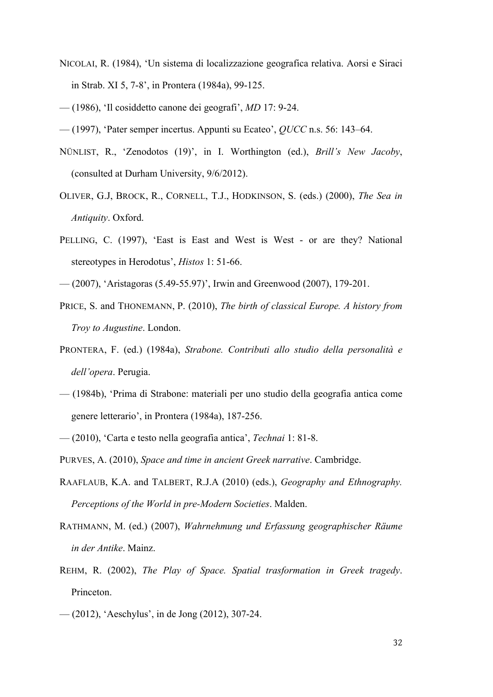- NICOLAI, R. (1984), 'Un sistema di localizzazione geografica relativa. Aorsi e Siraci in Strab. XI 5, 7-8', in Prontera (1984a), 99-125.
- (1986), 'Il cosiddetto canone dei geografi', *MD* 17: 9-24.
- (1997), 'Pater semper incertus. Appunti su Ecateo', *QUCC* n.s. 56: 143–64.
- NÜNLIST, R., 'Zenodotos (19)', in I. Worthington (ed.), *Brill's New Jacoby*, (consulted at Durham University, 9/6/2012).
- OLIVER, G.J, BROCK, R., CORNELL, T.J., HODKINSON, S. (eds.) (2000), *The Sea in Antiquity*. Oxford.
- PELLING, C. (1997), 'East is East and West is West or are they? National stereotypes in Herodotus', *Histos* 1: 51-66.
- (2007), 'Aristagoras (5.49-55.97)', Irwin and Greenwood (2007), 179-201.
- PRICE, S. and THONEMANN, P. (2010), *The birth of classical Europe. A history from Troy to Augustine*. London.
- PRONTERA, F. (ed.) (1984a), *Strabone. Contributi allo studio della personalità e dell'opera*. Perugia.
- (1984b), 'Prima di Strabone: materiali per uno studio della geografia antica come genere letterario', in Prontera (1984a), 187-256.
- (2010), 'Carta e testo nella geografia antica', *Technai* 1: 81-8.
- PURVES, A. (2010), *Space and time in ancient Greek narrative*. Cambridge.
- RAAFLAUB, K.A. and TALBERT, R.J.A (2010) (eds.), *Geography and Ethnography. Perceptions of the World in pre-Modern Societies*. Malden.
- RATHMANN, M. (ed.) (2007), *Wahrnehmung und Erfassung geographischer Räume in der Antike*. Mainz.
- REHM, R. (2002), *The Play of Space. Spatial trasformation in Greek tragedy*. Princeton.
- (2012), 'Aeschylus', in de Jong (2012), 307-24.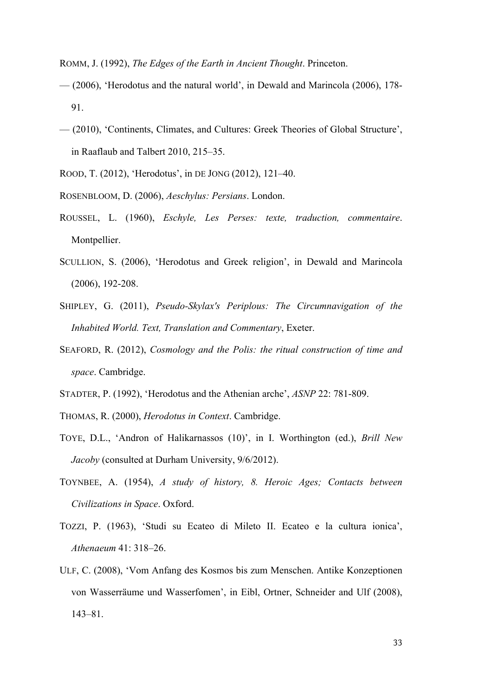ROMM, J. (1992), *The Edges of the Earth in Ancient Thought*. Princeton.

- (2006), 'Herodotus and the natural world', in Dewald and Marincola (2006), 178- 91.
- (2010), 'Continents, Climates, and Cultures: Greek Theories of Global Structure', in Raaflaub and Talbert 2010, 215–35.
- ROOD, T. (2012), 'Herodotus', in DE JONG (2012), 121–40.
- ROSENBLOOM, D. (2006), *Aeschylus: Persians*. London.
- ROUSSEL, L. (1960), *Eschyle, Les Perses: texte, traduction, commentaire*. Montpellier.
- SCULLION, S. (2006), 'Herodotus and Greek religion', in Dewald and Marincola (2006), 192-208.
- SHIPLEY, G. (2011), *Pseudo-Skylax's Periplous: The Circumnavigation of the Inhabited World. Text, Translation and Commentary*, Exeter.
- SEAFORD, R. (2012), *Cosmology and the Polis: the ritual construction of time and space*. Cambridge.
- STADTER, P. (1992), 'Herodotus and the Athenian arche', *ASNP* 22: 781-809.
- THOMAS, R. (2000), *Herodotus in Context*. Cambridge.
- TOYE, D.L., 'Andron of Halikarnassos (10)', in I. Worthington (ed.), *Brill New Jacoby* (consulted at Durham University, 9/6/2012).
- TOYNBEE, A. (1954), *A study of history, 8. Heroic Ages; Contacts between Civilizations in Space*. Oxford.
- TOZZI, P. (1963), 'Studi su Ecateo di Mileto II. Ecateo e la cultura ionica', *Athenaeum* 41: 318–26.
- ULF, C. (2008), 'Vom Anfang des Kosmos bis zum Menschen. Antike Konzeptionen von Wasserräume und Wasserfomen', in Eibl, Ortner, Schneider and Ulf (2008), 143–81.